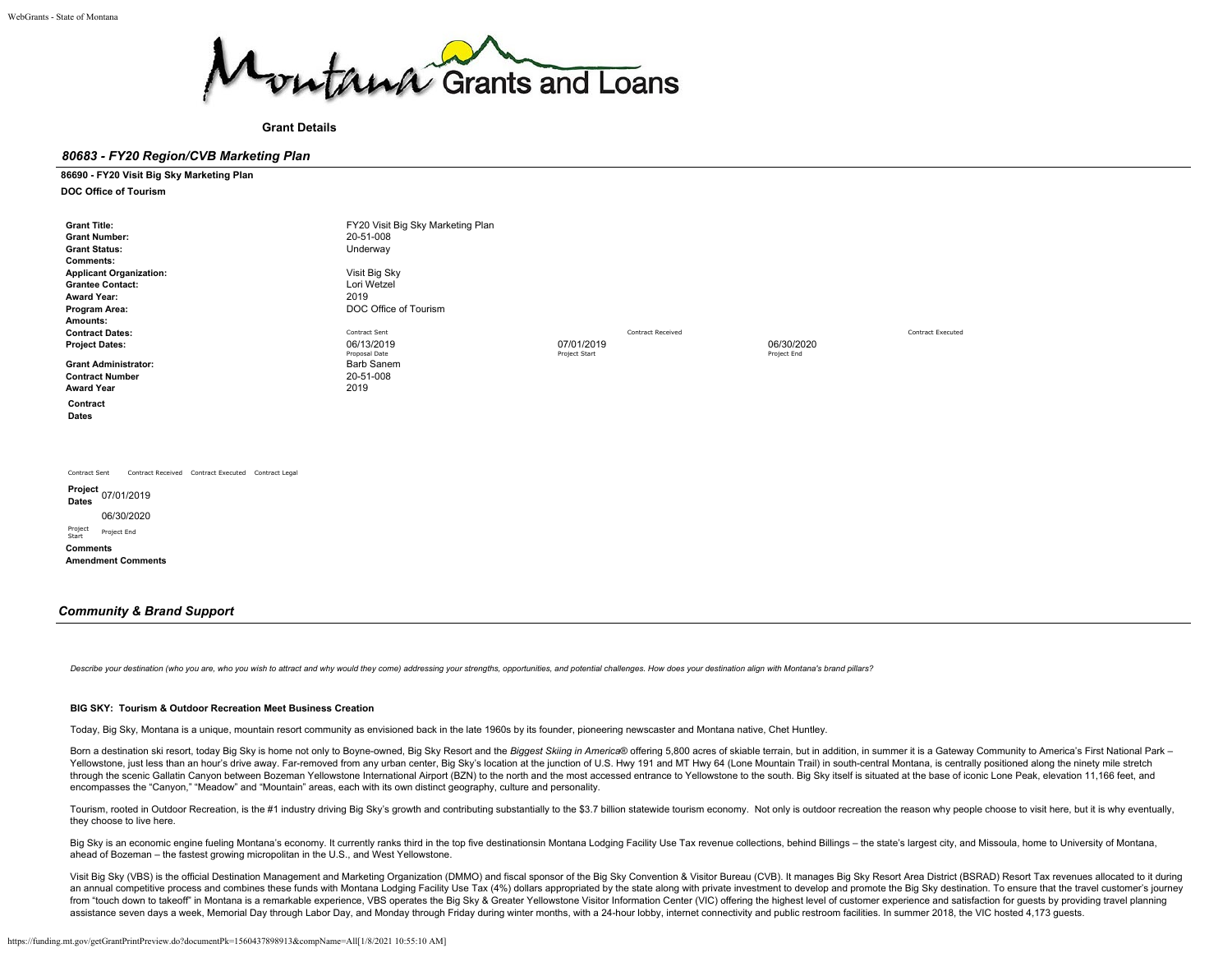

**Grant Details**

#### *80683 - FY20 Region/CVB Marketing Plan*

#### **86690 - FY20 Visit Big Sky Marketing Plan**

#### **DOC Office of Tourism**

| <b>Grant Title:</b>                                                                                                                          | FY20 Visit Big Sky Marketing Plan |               |                   |             |                          |
|----------------------------------------------------------------------------------------------------------------------------------------------|-----------------------------------|---------------|-------------------|-------------|--------------------------|
| <b>Grant Number:</b>                                                                                                                         | 20-51-008                         |               |                   |             |                          |
| <b>Grant Status:</b>                                                                                                                         | Underway                          |               |                   |             |                          |
| <b>Comments:</b>                                                                                                                             |                                   |               |                   |             |                          |
| <b>Applicant Organization:</b>                                                                                                               | Visit Big Sky                     |               |                   |             |                          |
| <b>Grantee Contact:</b>                                                                                                                      | Lori Wetzel                       |               |                   |             |                          |
| <b>Award Year:</b>                                                                                                                           | 2019                              |               |                   |             |                          |
| Program Area:                                                                                                                                | DOC Office of Tourism             |               |                   |             |                          |
| Amounts:                                                                                                                                     |                                   |               |                   |             |                          |
| <b>Contract Dates:</b>                                                                                                                       | Contract Sent                     |               | Contract Received |             | <b>Contract Executed</b> |
| <b>Project Dates:</b>                                                                                                                        | 06/13/2019                        | 07/01/2019    |                   | 06/30/2020  |                          |
|                                                                                                                                              | Proposal Date                     | Project Start |                   | Project End |                          |
| <b>Grant Administrator:</b>                                                                                                                  | <b>Barb Sanem</b>                 |               |                   |             |                          |
| <b>Contract Number</b>                                                                                                                       | 20-51-008                         |               |                   |             |                          |
| <b>Award Year</b>                                                                                                                            | 2019                              |               |                   |             |                          |
| Contract                                                                                                                                     |                                   |               |                   |             |                          |
| Dates                                                                                                                                        |                                   |               |                   |             |                          |
|                                                                                                                                              |                                   |               |                   |             |                          |
|                                                                                                                                              |                                   |               |                   |             |                          |
|                                                                                                                                              |                                   |               |                   |             |                          |
|                                                                                                                                              |                                   |               |                   |             |                          |
| Contract Sent                                                                                                                                |                                   |               |                   |             |                          |
|                                                                                                                                              |                                   |               |                   |             |                          |
| <b>Dates</b>                                                                                                                                 |                                   |               |                   |             |                          |
| 06/30/2020                                                                                                                                   |                                   |               |                   |             |                          |
| Project<br>Project End                                                                                                                       |                                   |               |                   |             |                          |
|                                                                                                                                              |                                   |               |                   |             |                          |
|                                                                                                                                              |                                   |               |                   |             |                          |
|                                                                                                                                              |                                   |               |                   |             |                          |
|                                                                                                                                              |                                   |               |                   |             |                          |
|                                                                                                                                              |                                   |               |                   |             |                          |
| Contract Received Contract Executed Contract Legal<br>Project <sub>07/01/2019</sub><br>Start<br><b>Comments</b><br><b>Amendment Comments</b> |                                   |               |                   |             |                          |

#### *Community & Brand Support*

Describe your destination (who you are, who you wish to attract and why would they come) addressing your strengths, opportunities, and potential challenges. How does your destination align with Montana's brand pillars?

#### **BIG SKY: Tourism & Outdoor Recreation Meet Business Creation**

Today, Big Sky, Montana is a unique, mountain resort community as envisioned back in the late 1960s by its founder, pioneering newscaster and Montana native, Chet Huntley.

Born a destination ski resort, today Big Sky is home not only to Boyne-owned, Big Sky Resort and the Biggest Skiing in America® offering 5,800 acres of skiable terrain, but in addition, in summer it is a Gateway Community Yellowstone, just less than an hour's drive away. Far-removed from any urban center, Big Sky's location at the junction of U.S. Hwy 191 and MT Hwy 64 (Lone Mountain Trail) in south-central Montana, is centrally positioned through the scenic Gallatin Canyon between Bozeman Yellowstone International Airport (BZN) to the north and the most accessed entrance to Yellowstone to the south. Big Sky itself is situated at the base of iconic Lone Peak encompasses the "Canyon," "Meadow" and "Mountain" areas, each with its own distinct geography, culture and personality.

Tourism, rooted in Outdoor Recreation, is the #1 industry driving Big Sky's growth and contributing substantially to the \$3.7 billion statewide tourism economy. Not only is outdoor recreation the reason why people choose t they choose to live here.

Big Sky is an economic engine fueling Montana's economy. It currently ranks third in the top five destinationsin Montana Lodging Facility Use Tax revenue collections, behind Billings - the state's largest city, and Missoul ahead of Bozeman – the fastest growing micropolitan in the U.S., and West Yellowstone.

Visit Big Sky (VBS) is the official Destination Management and Marketing Organization (DMMO) and fiscal sponsor of the Big Sky Convention & Visitor Bureau (CVB). It manages Big Sky Resort Area District (BSRAD) Resort Tax r an annual competitive process and combines these funds with Montana Lodging Facility Use Tax (4%) dollars appropriated by the state along with private investment to develop and promote the Big Sky destination. To ensure th from "touch down to takeoff" in Montana is a remarkable experience, VBS operates the Big Sky & Greater Yellowstone Visitor Information Center (VIC) offering the highest level of customer experience and satisfaction for gue assistance seven days a week, Memorial Day through Labor Day, and Monday through Friday during winter months, with a 24-hour lobby, internet connectivity and public restroom facilities. In summer 2018, the VIC hosted 4,173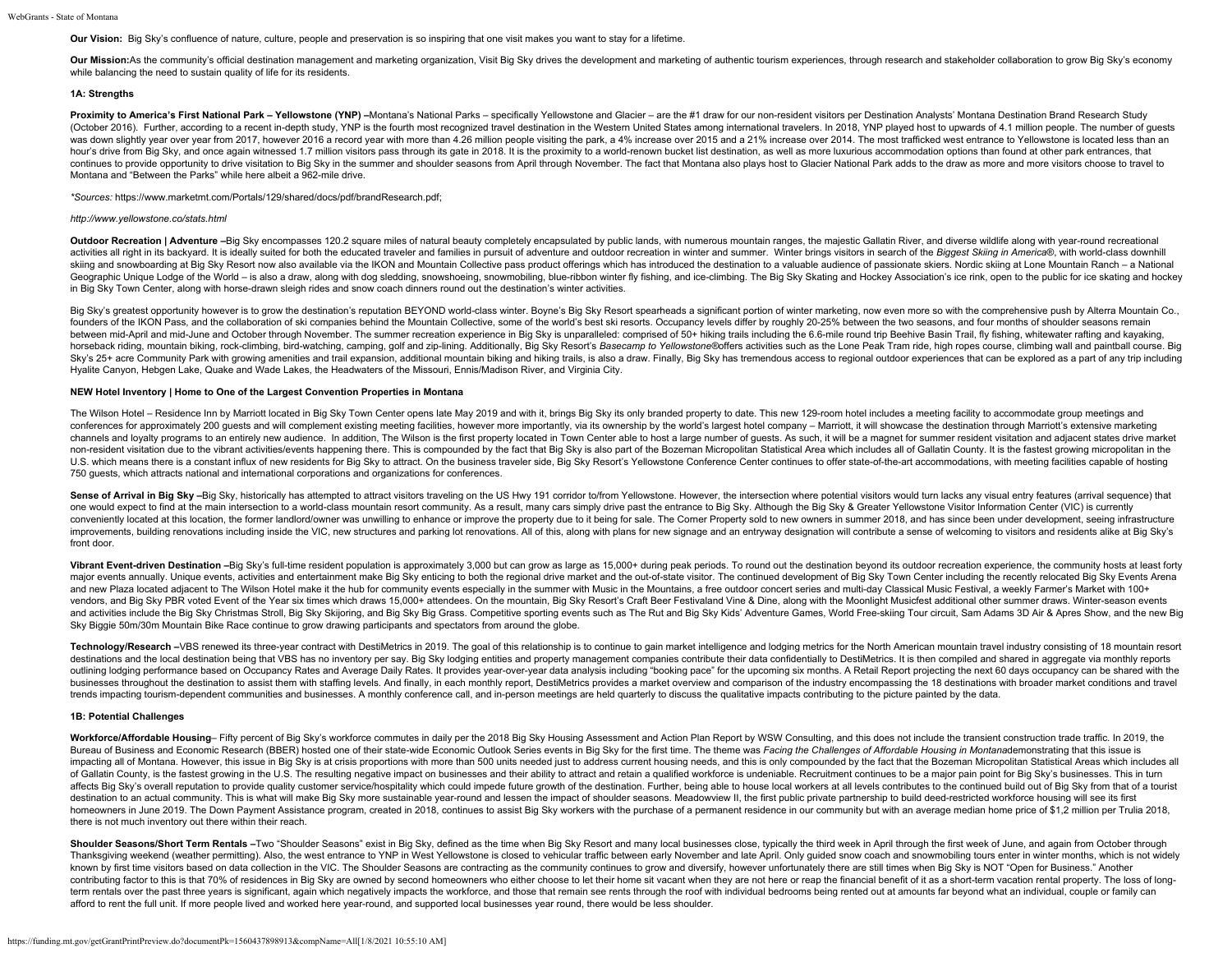**Our Vision:** Big Sky's confluence of nature, culture, people and preservation is so inspiring that one visit makes you want to stay for a lifetime.

Our Mission:As the community's official destination management and marketing organization, Visit Big Sky drives the development and marketing of authentic tourism experiences, through research and stakeholder collaboration while balancing the need to sustain quality of life for its residents.

#### **1A: Strengths**

Proximity to America's First National Park - Yellowstone (YNP) -Montana's National Parks - specifically Yellowstone and Glacier - are the #1 draw for our non-resident visitors per Destination Analysts' Montana Destination (October 2016). Further, according to a recent in-depth study, YNP is the fourth most recognized travel destination in the Western United States among international travelers. In 2018, YNP played host to upwards of 4.1 mil was down slightly year over year from 2017, however 2016 a record year with more than 4.26 million people visiting the park, a 4% increase over 2015 and a 21% increase over 2014. The most trafficked west entrance to Yellow hour's drive from Big Sky, and once again witnessed 1.7 million visitors pass through its gate in 2018. It is the proximity to a world-renown bucket list destination, as well as more luxurious accommodation options than fo continues to provide opportunity to drive visitation to Big Sky in the summer and shoulder seasons from April through November. The fact that Montana also plays host to Glacier National Park adds to the draw as more and mo Montana and "Between the Parks" while here albeit a 962-mile drive.

*\*Sources:* <https://www.marketmt.com/Portals/129/shared/docs/pdf/brandResearch.pdf>;

#### *<http://www.yellowstone.co/stats.html>*

Outdoor Recreation | Adventure -Big Sky encompasses 120.2 square miles of natural beauty completely encapsulated by public lands, with numerous mountain ranges, the majestic Gallatin River, and diverse wildlife along with activities all right in its backyard. It is ideally suited for both the educated traveler and families in pursuit of adventure and outdoor recreation in winter and summer. Winter brings visitors in search of the Biggest Sk skiing and snowboarding at Big Sky Resort now also available via the IKON and Mountain Collective pass product offerings which has introduced the destination to a valuable audience of passionate skiers. Nordic skiing at Lo Geographic Unique Lodge of the World - is also a draw, along with dog sledding, snowshoeing, snowmobiling, blue-ribbon winter fly fishing, and ice-climbing. The Big Sky Skating and Hockey Association's ice rink, open to th in Big Sky Town Center, along with horse-drawn sleigh rides and snow coach dinners round out the destination's winter activities.

Big Sky's greatest opportunity however is to grow the destination's reputation BEYOND world-class winter. Boyne's Big Sky Resort spearheads a significant portion of winter marketing, now even more so with the comprehensive founders of the IKON Pass, and the collaboration of ski companies behind the Mountain Collective, some of the world's best ski resorts. Occupancy levels differ by roughly 20-25% between the two seasons, and four months of between mid-April and mid-June and October through November. The summer recreation experience in Big Sky is unparalleled: comprised of 50+ hiking trails including the 6.6-mile round trip Beehive Basin Trail, fly fishing, w horseback riding, mountain biking, rock-climbing, bird-watching, camping, golf and zip-lining. Additionally, Big Sky Resort's Basecamp to Yellowstone®offers activities such as the Lone Peak Tram ride, high ropes course, cl Sky's 25+ acre Community Park with growing amenities and trail expansion, additional mountain biking and hiking trails, is also a draw. Finally, Big Sky has tremendous access to regional outdoor experiences that can be exp Hyalite Canyon, Hebgen Lake, Quake and Wade Lakes, the Headwaters of the Missouri, Ennis/Madison River, and Virginia City.

#### **NEW Hotel Inventory | Home to One of the Largest Convention Properties in Montana**

The Wilson Hotel - Residence Inn by Marriott located in Big Sky Town Center opens late May 2019 and with it, brings Big Sky its only branded property to date. This new 129-room hotel includes a meeting facility to accommod conferences for approximately 200 guests and will complement existing meeting facilities, however more importantly, via its ownership by the world's largest hotel company - Marriott, it will showcase the destination throug channels and loyalty programs to an entirely new audience. In addition, The Wilson is the first property located in Town Center able to host a large number of guests. As such, it will be a magnet for summer resident visita non-resident visitation due to the vibrant activities/events happening there. This is compounded by the fact that Big Sky is also part of the Bozeman Micropolitan Statistical Area which includes all of Gallatin County. It U.S. which means there is a constant influx of new residents for Big Sky to attract. On the business traveler side, Big Sky Resort's Yellowstone Conference Center continues to offer state-of-the-art accommodations, with me 750 guests, which attracts national and international corporations and organizations for conferences.

Sense of Arrival in Big Sky -Big Sky, historically has attempted to attract visitors traveling on the US Hwy 191 corridor to/from Yellowstone. However, the intersection where potential visitors would turn lacks any visual one would expect to find at the main intersection to a world-class mountain resort community. As a result, many cars simply drive past the entrance to Big Sky. Although the Big Sky & Greater Yellowstone Visitor Information conveniently located at this location, the former landlord/owner was unwilling to enhance or improve the property due to it being for sale. The Corner Property sold to new owners in summer 2018, and has since been under de improvements, building renovations including inside the VIC, new structures and parking lot renovations. All of this, along with plans for new signage and an entryway designation will contribute a sense of welcoming to vis front door.

Vibrant Event-driven Destination -Big Sky's full-time resident population is approximately 3,000 but can grow as large as 15,000+ during peak periods. To round out the destination beyond its outdoor recreation experience, major events annually. Unique events, activities and entertainment make Big Sky enticing to both the regional drive market and the out-of-state visitor. The continued development of Big Sky Town Center including the recent and new Plaza located adjacent to The Wilson Hotel make it the hub for community events especially in the summer with Music in the Mountains, a free outdoor concert series and multi-day Classical Music Festival, a weekly F vendors, and Big Sky PBR voted Event of the Year six times which draws 15,000+ attendees. On the mountain, Big Sky Resort's Craft Beer Festivaland Vine & Dine, along with the Moonlight Musicfest additional other summer dra and activities include the Big Sky Christmas Stroll, Big Sky Skijoring, and Big Sky Big Grass. Competitive sporting events such as The Rut and Big Sky Kids' Adventure Games, World Free-skiing Tour circuit, Sam Adams 3D Air Sky Biggie 50m/30m Mountain Bike Race continue to grow drawing participants and spectators from around the globe.

Technology/Research -VBS renewed its three-year contract with DestiMetrics in 2019. The goal of this relationship is to continue to gain market intelligence and lodging metrics for the North American mountain travel indust destinations and the local destination being that VBS has no inventory per say. Big Sky lodging entities and property management companies contribute their data confidentially to DestiMetrics. It is then compiled and share outlining lodging performance based on Occupancy Rates and Average Daily Rates. It provides year-over-year data analysis including "booking pace" for the upcoming six months. A Retail Report projecting the next 60 days occ businesses throughout the destination to assist them with staffing levels. And finally, in each monthly report, DestiMetrics provides a market overview and comparison of the industry encompassing the 18 destinations with b trends impacting tourism-dependent communities and businesses. A monthly conference call, and in-person meetings are held quarterly to discuss the qualitative impacts contributing to the picture painted by the data.

#### **1B: Potential Challenges**

Workforce/Affordable Housing- Fifty percent of Big Sky's workforce commutes in daily per the 2018 Big Sky Housing Assessment and Action Plan Report by WSW Consulting, and this does not include the transient construction tr Bureau of Business and Economic Research (BBER) hosted one of their state-wide Economic Outlook Series events in Big Sky for the first time. The theme was Facing the Challenges of Affordable Housing in Montanademonstrating impacting all of Montana. However, this issue in Big Sky is at crisis proportions with more than 500 units needed just to address current housing needs, and this is only compounded by the fact that the Bozeman Micropolitan of Gallatin County, is the fastest growing in the U.S. The resulting negative impact on businesses and their ability to attract and retain a qualified workforce is undeniable. Recruitment continues to be a major pain point affects Big Sky's overall reputation to provide quality customer service/hospitality which could impede future growth of the destination. Further, being able to house local workers at all levels contributes to the continue destination to an actual community. This is what will make Big Sky more sustainable year-round and lessen the impact of shoulder seasons. Meadowview II, the first public private partnership to build deed-restricted workfor homeowners in June 2019. The Down Payment Assistance program, created in 2018, continues to assist Big Sky workers with the purchase of a permanent residence in our community but with an average median home price of \$1,2 m there is not much inventory out there within their reach.

Shoulder Seasons/Short Term Rentals -Two "Shoulder Seasons" exist in Big Sky, defined as the time when Big Sky Resort and many local businesses close, typically the third week in April through the first week of June, and a Thanksgiving weekend (weather permitting). Also, the west entrance to YNP in West Yellowstone is closed to vehicular traffic between early November and late April. Only quided snow coach and snowmobiling tours enter in win known by first time visitors based on data collection in the VIC. The Shoulder Seasons are contracting as the community continues to grow and diversify, however unfortunately there are still times when Big Sky is NOT "Open contributing factor to this is that 70% of residences in Big Sky are owned by second homeowners who either choose to let their home sit vacant when they are not here or reap the financial benefit of it as a short-term vaca term rentals over the past three years is significant, again which negatively impacts the workforce, and those that remain see rents through the roof with individual bedrooms being rented out at amounts far beyond what an afford to rent the full unit. If more people lived and worked here year-round, and supported local businesses year round, there would be less shoulder.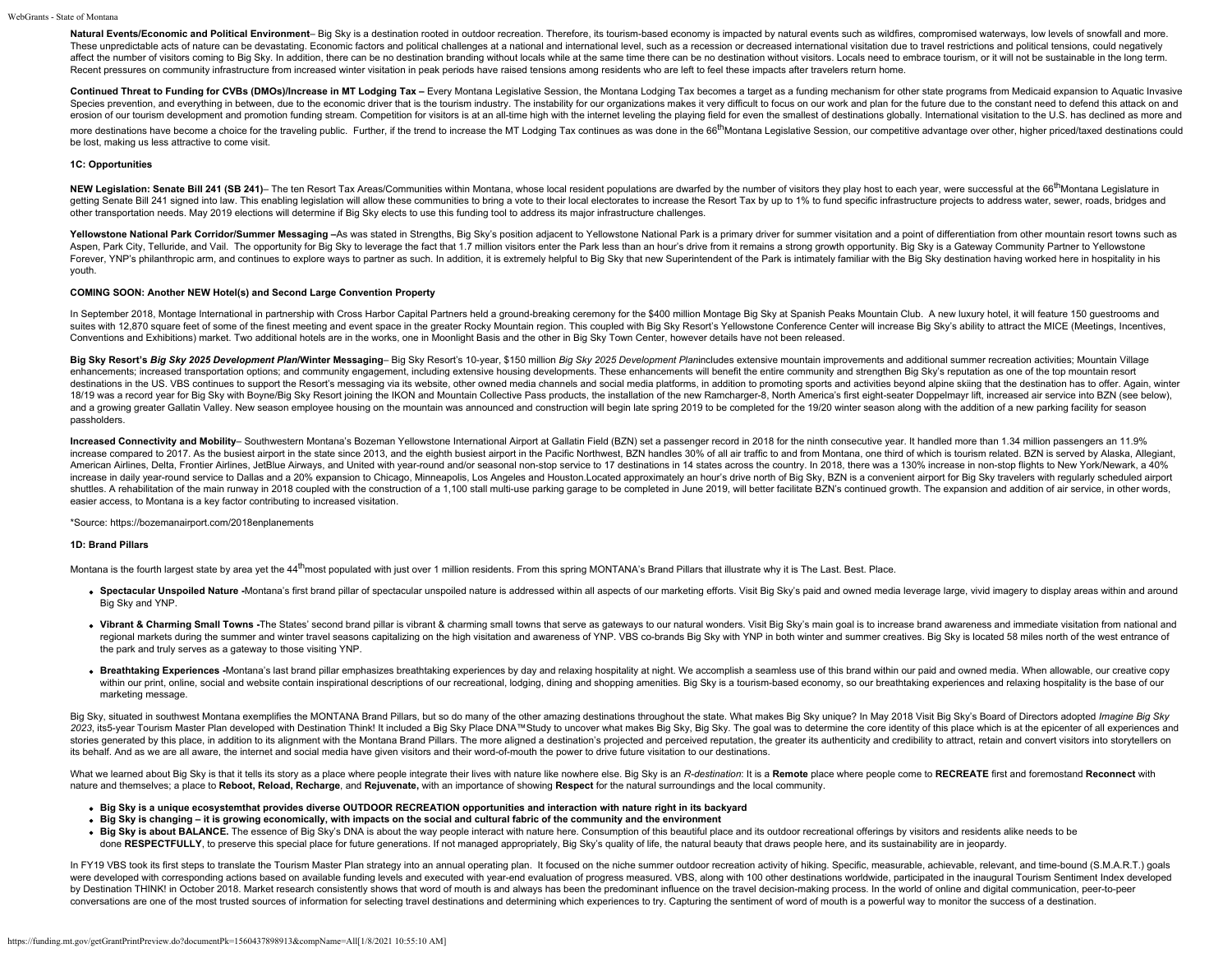Natural Events/Economic and Political Environment- Big Sky is a destination rooted in outdoor recreation. Therefore, its tourism-based economy is impacted by natural events such as wildfires, compromised waterways, low lev These unpredictable acts of nature can be devastating. Economic factors and political challenges at a national and international level, such as a recession or decreased international visitation due to travel restrictions a affect the number of visitors coming to Big Sky. In addition, there can be no destination branding without locals while at the same time there can be no destination without visitors. Locals need to embrace tourism, or it w Recent pressures on community infrastructure from increased winter visitation in peak periods have raised tensions among residents who are left to feel these impacts after travelers return home.

Continued Threat to Funding for CVBs (DMOs)/Increase in MT Lodging Tax - Every Montana Legislative Session, the Montana Lodging Tax becomes a target as a funding mechanism for other state programs from Medicaid expansion t Species prevention, and everything in between, due to the economic driver that is the tourism industry. The instability for our organizations makes it very difficult to focus on our work and plan for the future due to the erosion of our tourism development and promotion funding stream. Competition for visitors is at an all-time high with the internet leveling the playing field for even the smallest of destinations globally. International vi more destinations have become a choice for the traveling public. Further, if the trend to increase the MT Lodging Tax continues as was done in the 66<sup>th</sup> Montana Legislative Session, our competitive advantage over other, h be lost, making us less attractive to come visit.

#### **1C: Opportunities**

NEW Legislation: Senate Bill 241 (SB 241)- The ten Resort Tax Areas/Communities within Montana, whose local resident populations are dwarfed by the number of visitors they play host to each year, were successful at the 66<sup></sup> getting Senate Bill 241 signed into law. This enabling legislation will allow these communities to bring a vote to their local electorates to increase the Resort Tax by up to 1% to fund specific infrastructure projects to other transportation needs. May 2019 elections will determine if Big Sky elects to use this funding tool to address its major infrastructure challenges.

Yellowstone National Park Corridor/Summer Messaging -As was stated in Strengths, Big Sky's position adjacent to Yellowstone National Park is a primary driver for summer visitation and a point of differentiation from other Aspen, Park City, Telluride, and Vail. The opportunity for Big Sky to leverage the fact that 1.7 million visitors enter the Park less than an hour's drive from it remains a strong growth opportunity. Big Sky is a Gateway C Forever, YNP's philanthropic arm, and continues to explore ways to partner as such. In addition, it is extremely helpful to Big Sky that new Superintendent of the Park is intimately familiar with the Big Sky destination ha youth.

### **COMING SOON: Another NEW Hotel(s) and Second Large Convention Property**

In September 2018, Montage International in partnership with Cross Harbor Capital Partners held a ground-breaking ceremony for the \$400 million Montage Big Sky at Spanish Peaks Mountain Club. A new luxury hotel, it will fe suites with 12,870 square feet of some of the finest meeting and event space in the greater Rocky Mountain region. This coupled with Big Sky Resort's Yellowstone Conference Center will increase Big Sky's ability to attract Conventions and Exhibitions) market. Two additional hotels are in the works, one in Moonlight Basis and the other in Big Sky Town Center, however details have not been released.

Big Sky Resort's Big Sky 2025 Development Plan/Winter Messaging- Big Sky Resort's 10-year, \$150 million Big Sky 2025 Development Planincludes extensive mountain improvements and additional summer recreation activities; Mou enhancements; increased transportation options; and community engagement, including extensive housing developments. These enhancements will benefit the entire community and strengthen Big Sky's reputation as one of the top destinations in the US. VBS continues to support the Resort's messaging via its website, other owned media channels and social media platforms, in addition to promoting sports and activities beyond alpine skiing that the d 18/19 was a record year for Big Sky with Boyne/Big Sky Resort joining the IKON and Mountain Collective Pass products, the installation of the new Ramcharger-8, North America's first eight-seater Doppelmayr lift, increased and a growing greater Gallatin Valley. New season employee housing on the mountain was announced and construction will begin late spring 2019 to be completed for the 19/20 winter season along with the addition of a new par passholders.

Increased Connectivity and Mobility- Southwestern Montana's Bozeman Yellowstone International Airport at Gallatin Field (BZN) set a passenger record in 2018 for the ninth consecutive year. It handled more than 1.34 million increase compared to 2017. As the busiest airport in the state since 2013, and the eighth busiest airport in the Pacific Northwest, BZN handles 30% of all air traffic to and from Montana, one third of which is tourism rela American Airlines, Delta, Frontier Airlines, JetBlue Airways, and United with year-round and/or seasonal non-stop service to 17 destinations in 14 states across the country. In 2018, there was a 130% increase in non-stop f increase in daily year-round service to Dallas and a 20% expansion to Chicago, Minneapolis, Los Angeles and Houston.Located approximately an hour's drive north of Big Sky, BZN is a convenient airport for Big Sky travelers shuttles. A rehabilitation of the main runway in 2018 coupled with the construction of a 1.100 stall multi-use parking garage to be completed in June 2019, will better facilitate BZN's continued growth. The expansion and a easier access, to Montana is a key factor contributing to increased visitation.

\*Source: <https://bozemanairport.com/2018enplanements>

#### **1D: Brand Pillars**

Montana is the fourth largest state by area yet the 44<sup>th</sup>most populated with just over 1 million residents. From this spring MONTANA's Brand Pillars that illustrate why it is The Last. Best. Place.

- . Spectacular Unspoiled Nature -Montana's first brand pillar of spectacular unspoiled nature is addressed within all aspects of our marketing efforts. Visit Big Sky's paid and owned media leverage large, vivid imagery to d Big Sky and YNP.
- . Vibrant & Charming Small Towns -The States' second brand pillar is vibrant & charming small towns that serve as gateways to our natural wonders. Visit Big Sky's main goal is to increase brand awareness and immediate visi regional markets during the summer and winter travel seasons capitalizing on the high visitation and awareness of YNP. VBS co-brands Big Sky with YNP in both winter and summer creatives. Big Sky is located 58 miles north o the park and truly serves as a gateway to those visiting YNP.
- . Breathtaking Experiences -Montana's last brand pillar emphasizes breathtaking experiences by day and relaxing hospitality at night. We accomplish a seamless use of this brand within our paid and owned media. When allowab within our print, online, social and website contain inspirational descriptions of our recreational, lodging, dining and shopping amenities. Big Sky is a tourism-based economy, so our breathtaking experiences and relaxing marketing message.

Big Sky, situated in southwest Montana exemplifies the MONTANA Brand Pillars, but so do many of the other amazing destinations throughout the state. What makes Big Sky unique? In May 2018 Visit Big Sky's Board of Directors 2023, its5-year Tourism Master Plan developed with Destination Think! It included a Big Sky Place DNA™Study to uncover what makes Big Sky, Big Sky. The goal was to determine the core identity of this place which is at the stories generated by this place, in addition to its alignment with the Montana Brand Pillars. The more aligned a destination's projected and perceived reputation, the greater its authenticity and credibility to attract, re its behalf. And as we are all aware, the internet and social media have given visitors and their word-of-mouth the power to drive future visitation to our destinations.

What we learned about Big Sky is that it tells its story as a place where people integrate their lives with nature like nowhere else. Big Sky is an R-destination: It is a Remote place where people come to RECREATE first an nature and themselves; a place to **Reboot, Reload, Recharge**, and **Rejuvenate,** with an importance of showing **Respect** for the natural surroundings and the local community.

- **Big Sky is a unique ecosystemthat provides diverse OUTDOOR RECREATION opportunities and interaction with nature right in its backyard**
- **Big Sky is changing it is growing economically, with impacts on the social and cultural fabric of the community and the environment**
- Big Sky is about BALANCE. The essence of Big Sky's DNA is about the way people interact with nature here. Consumption of this beautiful place and its outdoor recreational offerings by visitors and residents alike needs t done RESPECTFULLY, to preserve this special place for future generations. If not managed appropriately, Big Sky's quality of life, the natural beauty that draws people here, and its sustainability are in jeopardy.

In FY19 VBS took its first steps to translate the Tourism Master Plan strategy into an annual operating plan. It focused on the niche summer outdoor recreation activity of hiking. Specific, measurable, achievable, relevant were developed with corresponding actions based on available funding levels and executed with year-end evaluation of progress measured. VBS, along with 100 other destinations worldwide, participated in the inaugural Touris by Destination THINK! in October 2018. Market research consistently shows that word of mouth is and always has been the predominant influence on the travel decision-making process. In the world of online and digital commun conversations are one of the most trusted sources of information for selecting travel destinations and determining which experiences to try. Capturing the sentiment of word of mouth is a powerful way to monitor the success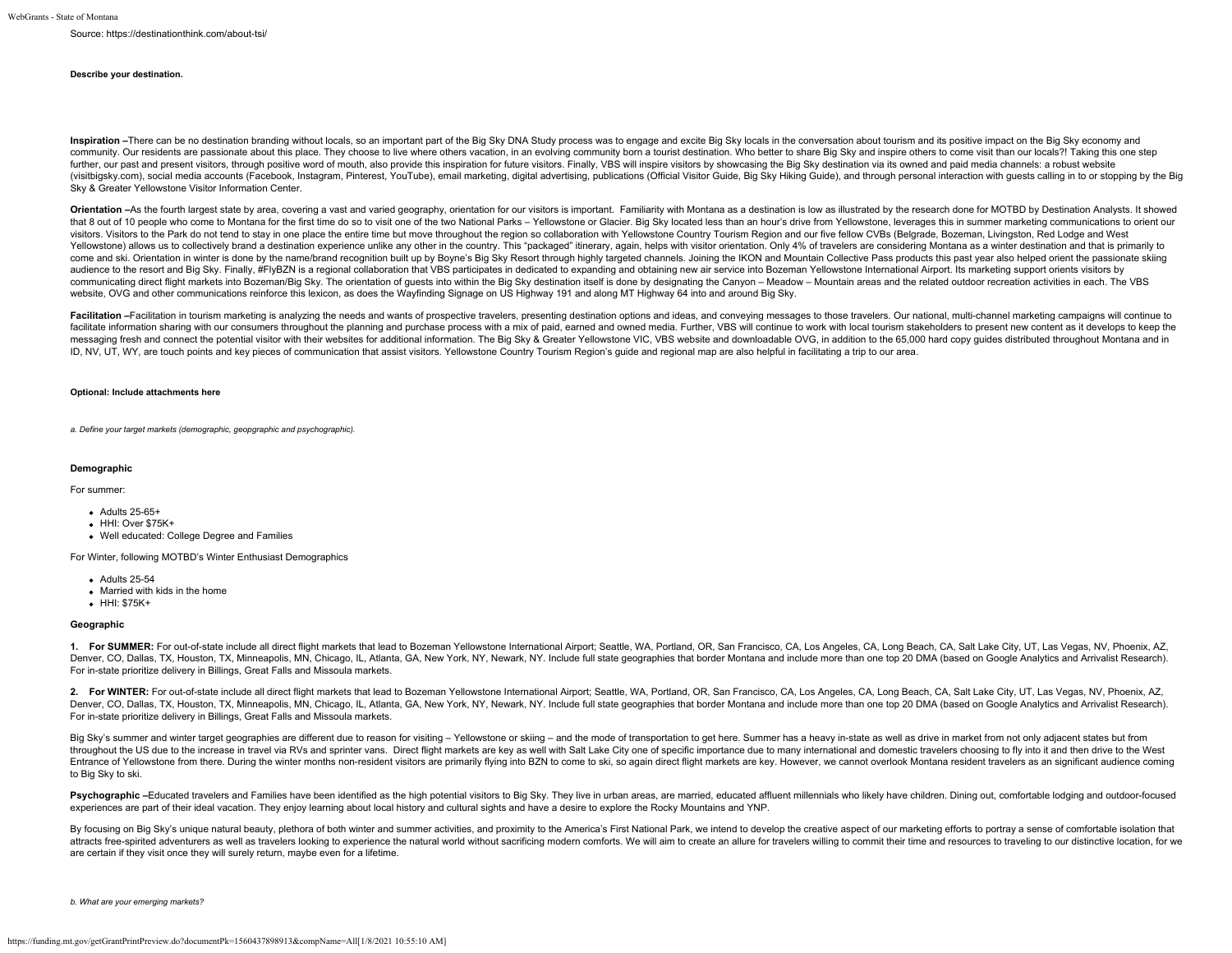Source: https://destinationthink.com/about-tsi

#### **Describe your destination.**

Inspiration -There can be no destination branding without locals, so an important part of the Big Sky DNA Study process was to engage and excite Big Sky locals in the conversation about tourism and its positive impact on t community. Our residents are passionate about this place. They choose to live where others vacation, in an evolving community born a tourist destination. Who better to share Big Sky and inspire others to come visit than ou further, our past and present visitors, through positive word of mouth, also provide this inspiration for future visitors. Finally, VBS will inspire visitors by showcasing the Big Sky destination via its owned and paid med (visitbigsky.com), social media accounts (Facebook, Instagram, Pinterest, YouTube), email marketing, digital advertising, publications (Official Visitor Guide, Big Sky Hiking Guide), and through personal interaction with g Sky & Greater Yellowstone Visitor Information Center.

Orientation -As the fourth largest state by area, covering a vast and varied geography, orientation for our visitors is important. Familiarity with Montana as a destination is low as illustrated by the research done for MO that 8 out of 10 people who come to Montana for the first time do so to visit one of the two National Parks - Yellowstone or Glacier. Big Sky located less than an hour's drive from Yellowstone, leverages this in summer mar visitors. Visitors to the Park do not tend to stay in one place the entire time but move throughout the region so collaboration with Yellowstone Country Tourism Region and our five fellow CVBs (Belgrade, Bozeman, Livingsto Yellowstone) allows us to collectively brand a destination experience unlike any other in the country. This "packaged" itinerary, again, helps with visitor orientation. Only 4% of travelers are considering Montana as a win come and ski. Orientation in winter is done by the name/brand recognition built up by Boyne's Big Sky Resort through highly targeted channels. Joining the IKON and Mountain Collective Pass products this past year also help audience to the resort and Big Sky. Finally, #FlyBZN is a regional collaboration that VBS participates in dedicated to expanding and obtaining new air service into Bozeman Yellowstone International Airport. Its marketing s communicating direct flight markets into Bozeman/Big Sky. The orientation of guests into within the Big Sky destination itself is done by designating the Canyon - Meadow - Mountain areas and the related outdoor recreation website, OVG and other communications reinforce this lexicon, as does the Wayfinding Signage on US Highway 191 and along MT Highway 64 into and around Big Sky.

Facilitation -Facilitation in tourism marketing is analyzing the needs and wants of prospective travelers, presenting destination options and ideas, and conveying messages to those travelers. Our national, multi-channel ma facilitate information sharing with our consumers throughout the planning and purchase process with a mix of paid, earned and owned media. Further, VBS will continue to work with local tourism stakeholders to present new c messaging fresh and connect the potential visitor with their websites for additional information. The Big Sky & Greater Yellowstone VIC, VBS website and downloadable OVG, in addition to the 65,000 hard copy guides distribu ID, NV, UT, WY, are touch points and key pieces of communication that assist visitors. Yellowstone Country Tourism Region's guide and regional map are also helpful in facilitating a trip to our area.

#### **Optional: Include attachments here**

*a. Define your target markets (demographic, geopgraphic and psychographic).*

#### **Demographic**

For summer:

- Adults 25-65+
- $\bullet$  HHI: Over \$75K+
- Well educated: College Degree and Families

For Winter, following MOTBD's Winter Enthusiast Demographics

- **Adults 25-54**
- Married with kids in the home
- HHI: \$75K+

#### **Geographic**

1. For SUMMER: For out-of-state include all direct flight markets that lead to Bozeman Yellowstone International Airport; Seattle, WA, Portland, OR, San Francisco, CA, Los Angeles, CA, Long Beach, CA, Salt Lake City, UT, L Denver, CO, Dallas, TX, Houston, TX, Minneapolis, MN, Chicago, IL, Atlanta, GA, New York, NY, Newark, NY. Include full state geographies that border Montana and include more than one top 20 DMA (based on Google Analytics a For in-state prioritize delivery in Billings, Great Falls and Missoula markets.

2. For WINTER: For out-of-state include all direct flight markets that lead to Bozeman Yellowstone International Airport; Seattle, WA, Portland, OR, San Francisco, CA, Los Angeles, CA, Long Beach, CA, Salt Lake City, UT, L Denver, CO, Dallas, TX, Houston, TX, Minneapolis, MN, Chicago, IL, Atlanta, GA, New York, NY, Newark, NY. Include full state geographies that border Montana and include more than one top 20 DMA (based on Google Analytics a For in-state prioritize delivery in Billings, Great Falls and Missoula markets.

Big Sky's summer and winter target geographies are different due to reason for visiting - Yellowstone or skiing - and the mode of transportation to get here. Summer has a heavy in-state as well as drive in market from not throughout the US due to the increase in travel via RVs and sprinter vans. Direct flight markets are key as well with Salt Lake City one of specific importance due to many international and domestic travelers choosing to f Entrance of Yellowstone from there. During the winter months non-resident visitors are primarily flying into BZN to come to ski, so again direct flight markets are key. However, we cannot overlook Montana resident traveler to Big Sky to ski.

Psychographic -Educated travelers and Families have been identified as the high potential visitors to Big Sky. They live in urban areas, are married, educated affluent millennials who likely have children. Dining out, comf experiences are part of their ideal vacation. They enjoy learning about local history and cultural sights and have a desire to explore the Rocky Mountains and YNP.

By focusing on Big Sky's unique natural beauty, plethora of both winter and summer activities, and proximity to the America's First National Park, we intend to develop the creative aspect of our marketing efforts to portra attracts free-spirited adventurers as well as travelers looking to experience the natural world without sacrificing modern comforts. We will aim to create an allure for travelers willing to commit their time and resources are certain if they visit once they will surely return, maybe even for a lifetime.

*b. What are your emerging markets?*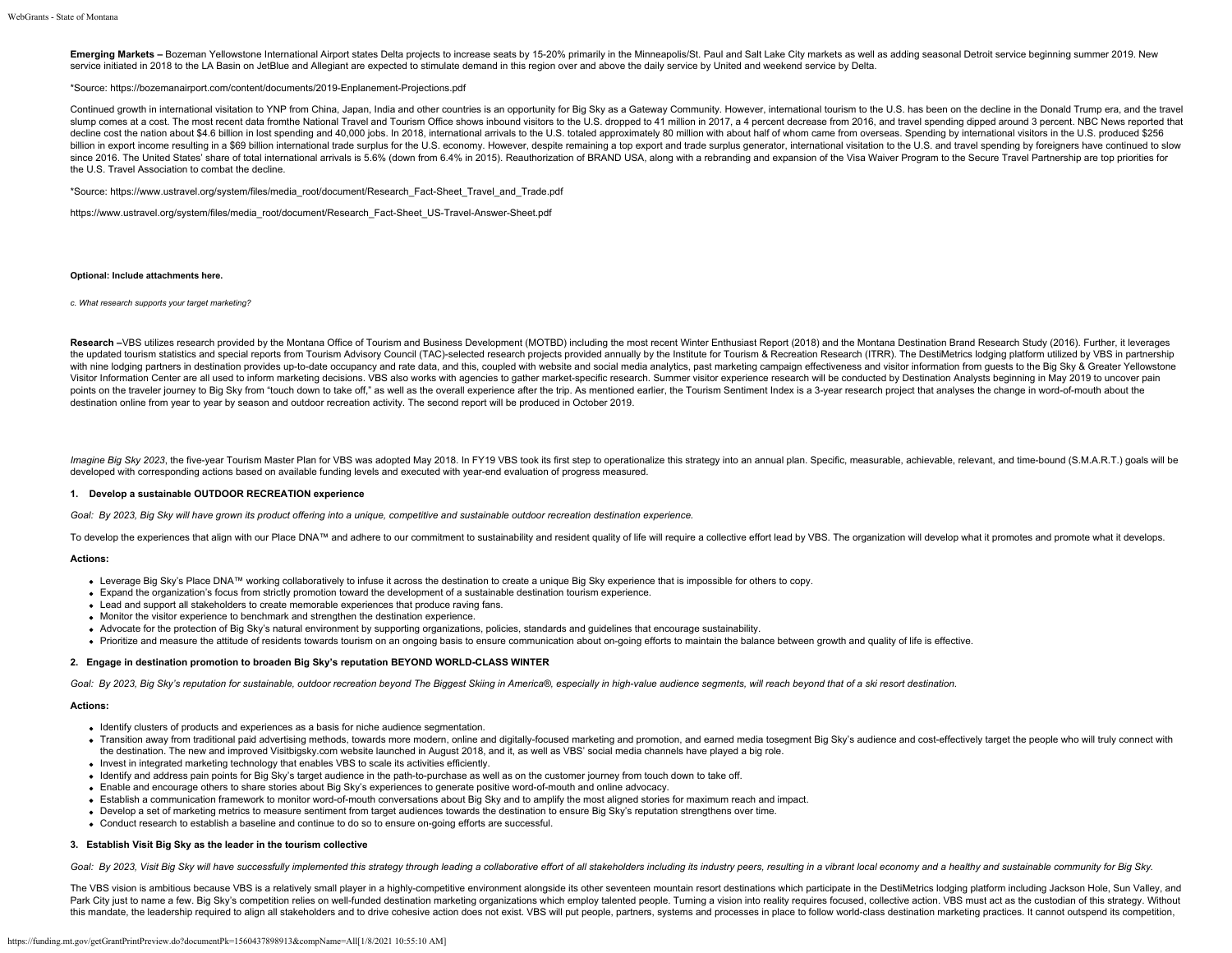Emerging Markets - Bozeman Yellowstone International Airport states Delta projects to increase seats by 15-20% primarily in the Minneapolis/St. Paul and Salt Lake City markets as well as adding seasonal Detroit service beg service initiated in 2018 to the LA Basin on JetBlue and Allegiant are expected to stimulate demand in this region over and above the daily service by United and weekend service by Delta.

#### \*Source: <https://bozemanairport.com/content/documents/2019-Enplanement-Projections.pdf>

Continued growth in international visitation to YNP from China, Japan, India and other countries is an opportunity for Big Sky as a Gateway Community. However, international tourism to the U.S. has been on the decline in t slump comes at a cost. The most recent data fromthe National Travel and Tourism Office shows inbound visitors to the U.S. dropped to 41 million in 2017, a 4 percent decrease from 2016, and travel spending dipped around 3 p decline cost the nation about \$4.6 billion in lost spending and 40,000 jobs. In 2018, international arrivals to the U.S. totaled approximately 80 million with about half of whom came from overseas. Spending by internationa billion in export income resulting in a \$69 billion international trade surplus for the U.S. economy. However, despite remaining a top export and trade surplus generator, international visitation to the U.S. and travel spe since 2016. The United States' share of total international arrivals is 5.6% (down from 6.4% in 2015). Reauthorization of BRAND USA, along with a rebranding and expansion of the Visa Waiver Program to the Secure Travel Par the U.S. Travel Association to combat the decline.

\*Source: [https://www.ustravel.org/system/files/media\\_root/document/Research\\_Fact-Sheet\\_Travel\\_and\\_Trade.pdf](https://www.ustravel.org/system/files/media_root/document/Research_Fact-Sheet_Travel_and_Trade.pdf)

[https://www.ustravel.org/system/files/media\\_root/document/Research\\_Fact-Sheet\\_US-Travel-Answer-Sheet.pdf](https://www.ustravel.org/system/files/media_root/document/Research_Fact-Sheet_US-Travel-Answer-Sheet.pdf)

#### **Optional: Include attachments here.**

*c. What research supports your target marketing?*

Research -VBS utilizes research provided by the Montana Office of Tourism and Business Development (MOTBD) including the most recent Winter Enthusiast Report (2018) and the Montana Destination Brand Research Study (2016). the updated tourism statistics and special reports from Tourism Advisory Council (TAC)-selected research projects provided annually by the Institute for Tourism & Recreation Research (ITRR). The DestiMetrics lodging platfo with nine lodging partners in destination provides up-to-date occupancy and rate data, and this, coupled with website and social media analytics, past marketing campaign effectiveness and visitor information from quests to Visitor Information Center are all used to inform marketing decisions. VBS also works with agencies to gather market-specific research. Summer visitor experience research will be conducted by Destination Analysts beginning points on the traveler journey to Big Sky from "touch down to take off," as well as the overall experience after the trip. As mentioned earlier, the Tourism Sentiment Index is a 3-year research project that analyses the ch destination online from year to year by season and outdoor recreation activity. The second report will be produced in October 2019.

Imagine Big Sky 2023, the five-year Tourism Master Plan for VBS was adopted May 2018. In FY19 VBS took its first step to operationalize this strategy into an annual plan. Specific, measurable, achievable, relevant, and tim developed with corresponding actions based on available funding levels and executed with year-end evaluation of progress measured.

### **1. Develop a sustainable OUTDOOR RECREATION experience**

*Goal: By 2023, Big Sky will have grown its product offering into a unique, competitive and sustainable outdoor recreation destination experience.*

To develop the experiences that align with our Place DNA™ and adhere to our commitment to sustainability and resident quality of life will require a collective effort lead by VBS. The organization will develop what it pro

#### **Actions:**

- Leverage Big Sky's Place DNA™ working collaboratively to infuse it across the destination to create a unique Big Sky experience that is impossible for others to copy.
- Expand the organization's focus from strictly promotion toward the development of a sustainable destination tourism experience.
- Lead and support all stakeholders to create memorable experiences that produce raving fans.
- Monitor the visitor experience to benchmark and strengthen the destination experience.
- Advocate for the protection of Big Sky's natural environment by supporting organizations, policies, standards and guidelines that encourage sustainability.
- Prioritize and measure the attitude of residents towards tourism on an ongoing basis to ensure communication about on-going efforts to maintain the balance between growth and quality of life is effective.

#### **2. Engage in destination promotion to broaden Big Sky's reputation BEYOND WORLD-CLASS WINTER**

*Goal: By 2023, Big Sky's reputation for sustainable, outdoor recreation beyond The Biggest Skiing in America®, especially in high-value audience segments, will reach beyond that of a ski resort destination.*

## **Actions:**

- Identify clusters of products and experiences as a basis for niche audience segmentation.
- . Transition away from traditional paid advertising methods, towards more modern, online and digitally-focused marketing and promotion, and earned media tosegment Big Sky's audience and cost-effectively target the people w the destination. The new and improved Visitbigsky.com website launched in August 2018, and it, as well as VBS' social media channels have played a big role.
- Invest in integrated marketing technology that enables VBS to scale its activities efficiently.
- Identify and address pain points for Big Sky's target audience in the path-to-purchase as well as on the customer journey from touch down to take off.
- Enable and encourage others to share stories about Big Sky's experiences to generate positive word-of-mouth and online advocacy.
- Establish a communication framework to monitor word-of-mouth conversations about Big Sky and to amplify the most aligned stories for maximum reach and impact.
- Develop a set of marketing metrics to measure sentiment from target audiences towards the destination to ensure Big Sky's reputation strengthens over time.
- Conduct research to establish a baseline and continue to do so to ensure on-going efforts are successful.

## **3. Establish Visit Big Sky as the leader in the tourism collective**

Goal: By 2023, Visit Big Sky will have successfully implemented this strategy through leading a collaborative effort of all stakeholders including its industry peers, resulting in a vibrant local economy and a healthy and

The VBS vision is ambitious because VBS is a relatively small player in a highly-competitive environment alongside its other seventeen mountain resort destinations which participate in the DestiMetrics lodging platform inc Park City just to name a few. Big Sky's competition relies on well-funded destination marketing organizations which employ talented people. Turning a vision into reality requires focused, collective action. VBS must act as this mandate, the leadership required to align all stakeholders and to drive cohesive action does not exist. VBS will put people, partners, systems and processes in place to follow world-class destination marketing practic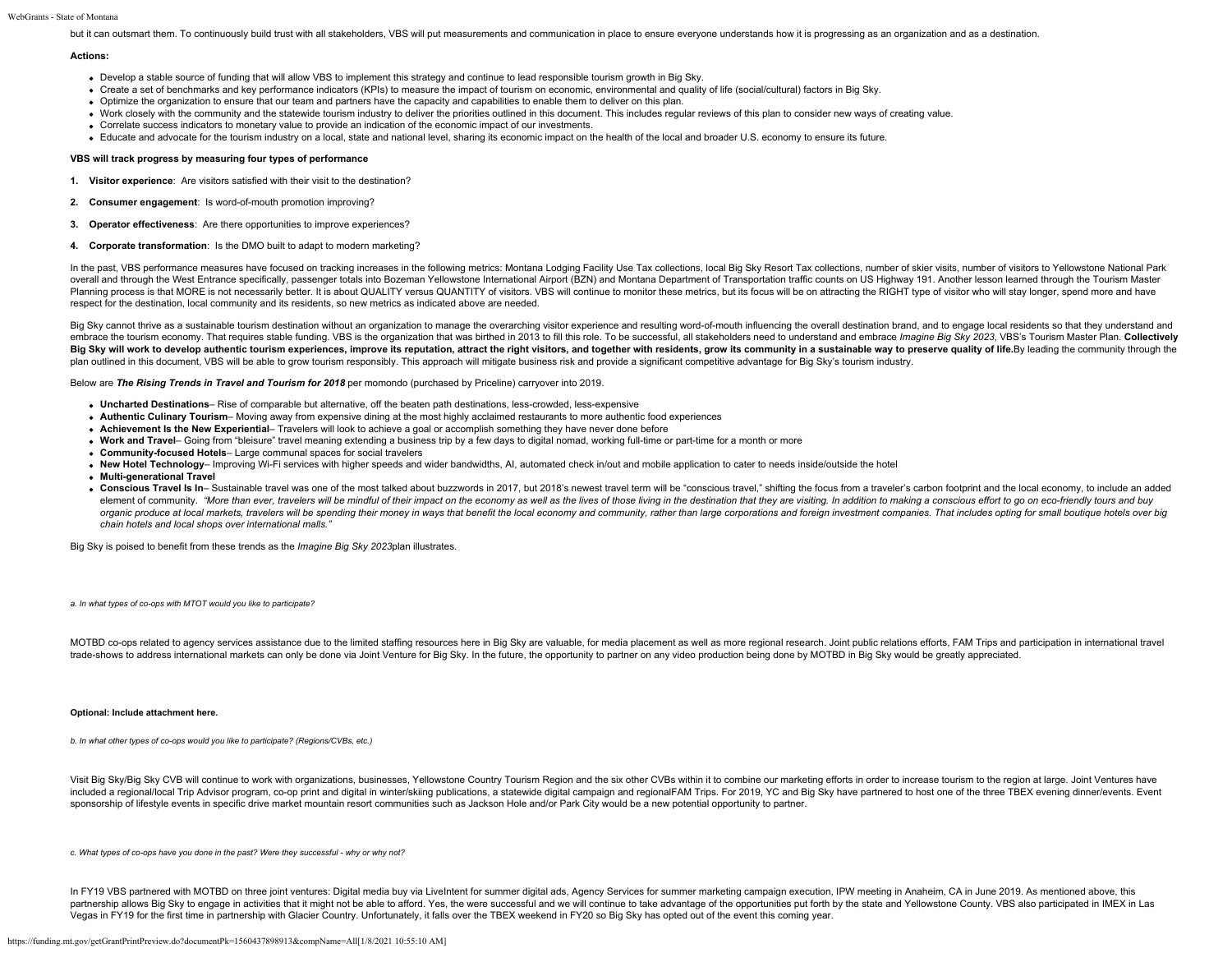#### WebGrants - State of Montana

but it can outsmart them. To continuously build trust with all stakeholders, VBS will put measurements and communication in place to ensure everyone understands how it is progressing as an organization and as a destination

#### **Actions:**

- Develop a stable source of funding that will allow VBS to implement this strategy and continue to lead responsible tourism growth in Big Sky.
- Create a set of benchmarks and key performance indicators (KPIs) to measure the impact of tourism on economic, environmental and quality of life (social/cultural) factors in Big Sky.
- Optimize the organization to ensure that our team and partners have the capacity and capabilities to enable them to deliver on this plan.
- Work closely with the community and the statewide tourism industry to deliver the priorities outlined in this document. This includes regular reviews of this plan to consider new ways of creating value.
- Correlate success indicators to monetary value to provide an indication of the economic impact of our investments.
- Educate and advocate for the tourism industry on a local, state and national level, sharing its economic impact on the health of the local and broader U.S. economy to ensure its future.

#### **VBS will track progress by measuring four types of performance**

- **1. Visitor experience**: Are visitors satisfied with their visit to the destination?
- **2. Consumer engagement**: Is word-of-mouth promotion improving?
- **3. Operator effectiveness**: Are there opportunities to improve experiences?
- **4. Corporate transformation**: Is the DMO built to adapt to modern marketing?

In the past, VBS performance measures have focused on tracking increases in the following metrics: Montana Lodging Facility Use Tax collections, local Big Sky Resort Tax collections, number of skier visits, number of visit overall and through the West Entrance specifically, passenger totals into Bozeman Yellowstone International Airport (BZN) and Montana Department of Transportation traffic counts on US Highway 191. Another lesson learned th Planning process is that MORE is not necessarily better. It is about QUALITY versus QUANTITY of visitors. VBS will continue to monitor these metrics, but its focus will be on attracting the RIGHT type of visitor who will s respect for the destination, local community and its residents, so new metrics as indicated above are needed.

Big Sky cannot thrive as a sustainable tourism destination without an organization to manage the overarching visitor experience and resulting word-of-mouth influencing the overall destination brand, and to engage local res embrace the tourism economy. That requires stable funding. VBS is the organization that was birthed in 2013 to fill this role. To be successful, all stakeholders need to understand and embrace Imagine Big Sky 2023, VBS's T Big Sky will work to develop authentic tourism experiences, improve its reputation, attract the right visitors, and together with residents, grow its community in a sustainable way to preserve quality of life.By leading th plan outlined in this document, VBS will be able to grow tourism responsibly. This approach will mitigate business risk and provide a significant competitive advantage for Big Sky's tourism industry.

Below are *The Rising Trends in Travel and Tourism for 2018* per momondo (purchased by Priceline) carryover into 2019.

- **Uncharted Destinations** Rise of comparable but alternative, off the beaten path destinations, less-crowded, less-expensive
- **Authentic Culinary Tourism** Moving away from expensive dining at the most highly acclaimed restaurants to more authentic food experiences
- **Achievement Is the New Experiential** Travelers will look to achieve a goal or accomplish something they have never done before
- **Work and Travel** Going from "bleisure" travel meaning extending a business trip by a few days to digital nomad, working full-time or part-time for a month or more
- **Community-focused Hotels** Large communal spaces for social travelers
- **New Hotel Technology** Improving Wi-Fi services with higher speeds and wider bandwidths, AI, automated check in/out and mobile application to cater to needs inside/outside the hotel
- **Multi-generational Travel**
- . Conscious Travel Is In- Sustainable travel was one of the most talked about buzzwords in 2017, but 2018's newest travel term will be "conscious travel," shifting the focus from a traveler's carbon footprint and the local element of community. "More than ever, travelers will be mindful of their impact on the economy as well as the lives of those living in the destination that they are visiting. In addition to making a conscious effort to go organic produce at local markets, travelers will be spending their money in ways that benefit the local economy and community, rather than large corporations and foreign investment companies. That includes opting for small *chain hotels and local shops over international malls."*

Big Sky is poised to benefit from these trends as the *Imagine Big Sky 2023*plan illustrates.

*a. In what types of co-ops with MTOT would you like to participate?*

MOTBD co-ops related to agency services assistance due to the limited staffing resources here in Big Sky are valuable, for media placement as well as more regional research. Joint public relations efforts, FAM Trips and pa trade-shows to address international markets can only be done via Joint Venture for Big Sky. In the future, the opportunity to partner on any video production being done by MOTBD in Big Sky would be greatly appreciated.

#### **Optional: Include attachment here.**

*b. In what other types of co-ops would you like to participate? (Regions/CVBs, etc.)*

Visit Big Sky/Big Sky CVB will continue to work with organizations, businesses, Yellowstone Country Tourism Region and the six other CVBs within it to combine our marketing efforts in order to increase tourism to the regio included a regional/local Trip Advisor program, co-op print and digital in winter/skiing publications, a statewide digital campaign and regionalFAM Trips. For 2019, YC and Big Sky have partnered to host one of the three TB sponsorship of lifestyle events in specific drive market mountain resort communities such as Jackson Hole and/or Park City would be a new potential opportunity to partner.

*c. What types of co-ops have you done in the past? Were they successful - why or why not?*

In FY19 VBS partnered with MOTBD on three joint ventures: Digital media buy via LiveIntent for summer digital ads, Agency Services for summer marketing campaign execution, IPW meeting in Anaheim, CA in June 2019. As mentio partnership allows Big Sky to engage in activities that it might not be able to afford. Yes, the were successful and we will continue to take advantage of the opportunities put forth by the state and Yellowstone County. VB Vegas in FY19 for the first time in partnership with Glacier Country. Unfortunately, it falls over the TBEX weekend in FY20 so Big Sky has opted out of the event this coming year.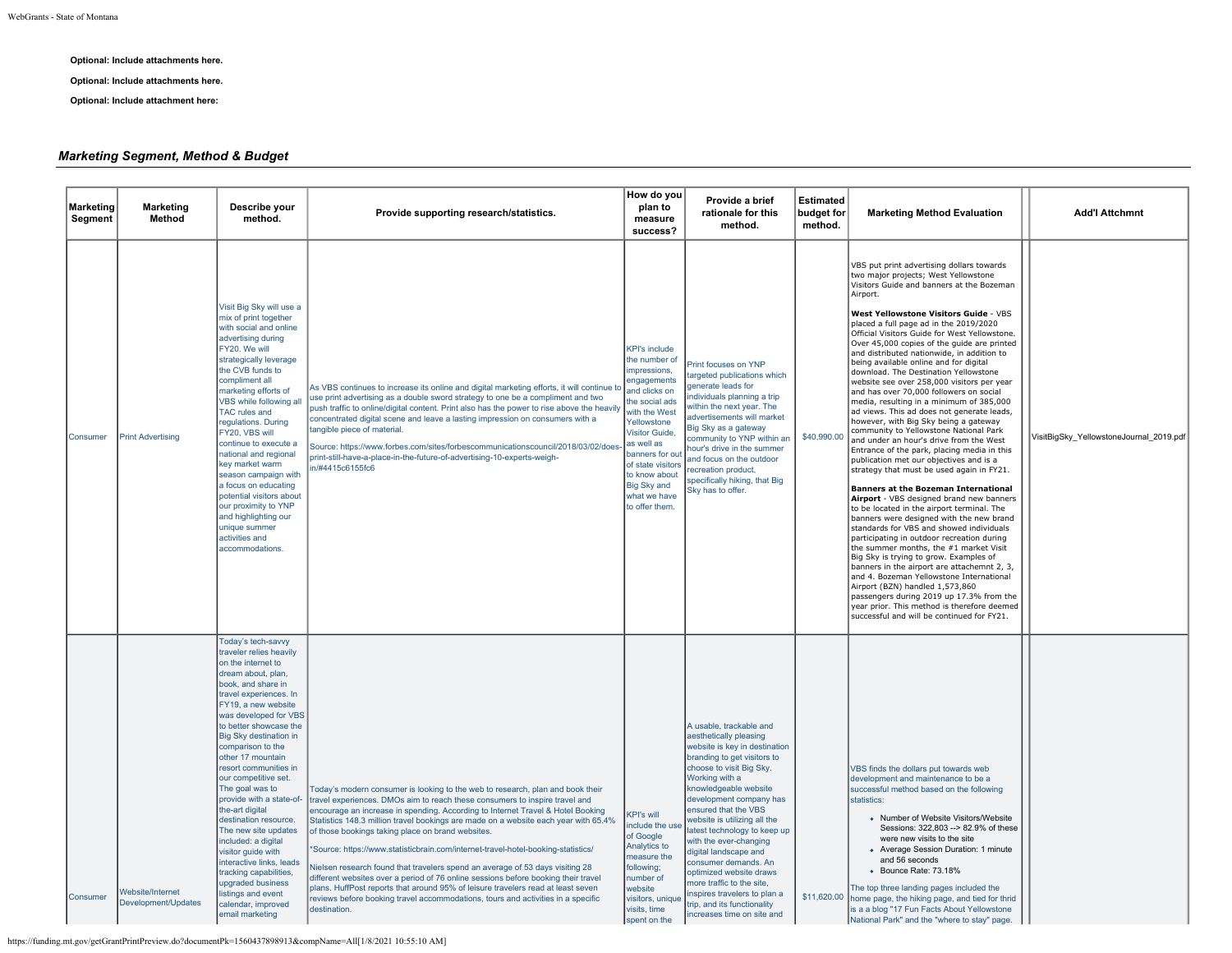### **Optional: Include attachments here.**

**Optional: Include attachments here.**

**Optional: Include attachment here:**

## *Marketing Segment, Method & Budget*

| Marketing<br>Segment | <b>Marketing</b><br>Method              | Describe your<br>method.                                                                                                                                                                                                                                                                                                                                                                                                                                                                                                                                                                                                                           | Provide supporting research/statistics.                                                                                                                                                                                                                                                                                                                                                                                                                                                                                                                                                                                                                                                                                                                                                                                                          | How do you<br>plan to<br>measure<br>success?                                                                                                                                                                                                                                              | Provide a brief<br>rationale for this<br>method.                                                                                                                                                                                                                                                                                                                                                                                                                                                                                           | <b>Estimated</b><br>budget for<br>method. | <b>Marketing Method Evaluation</b>                                                                                                                                                                                                                                                                                                                                                                                                                                                                                                                                                                                                                                                                                                                                                                                                                                                                                                                                                                                                                                                                                                                                                                                                                                                                                                                                                                                                                                                                                                                               | <b>Add'l Attchmnt</b>                   |
|----------------------|-----------------------------------------|----------------------------------------------------------------------------------------------------------------------------------------------------------------------------------------------------------------------------------------------------------------------------------------------------------------------------------------------------------------------------------------------------------------------------------------------------------------------------------------------------------------------------------------------------------------------------------------------------------------------------------------------------|--------------------------------------------------------------------------------------------------------------------------------------------------------------------------------------------------------------------------------------------------------------------------------------------------------------------------------------------------------------------------------------------------------------------------------------------------------------------------------------------------------------------------------------------------------------------------------------------------------------------------------------------------------------------------------------------------------------------------------------------------------------------------------------------------------------------------------------------------|-------------------------------------------------------------------------------------------------------------------------------------------------------------------------------------------------------------------------------------------------------------------------------------------|--------------------------------------------------------------------------------------------------------------------------------------------------------------------------------------------------------------------------------------------------------------------------------------------------------------------------------------------------------------------------------------------------------------------------------------------------------------------------------------------------------------------------------------------|-------------------------------------------|------------------------------------------------------------------------------------------------------------------------------------------------------------------------------------------------------------------------------------------------------------------------------------------------------------------------------------------------------------------------------------------------------------------------------------------------------------------------------------------------------------------------------------------------------------------------------------------------------------------------------------------------------------------------------------------------------------------------------------------------------------------------------------------------------------------------------------------------------------------------------------------------------------------------------------------------------------------------------------------------------------------------------------------------------------------------------------------------------------------------------------------------------------------------------------------------------------------------------------------------------------------------------------------------------------------------------------------------------------------------------------------------------------------------------------------------------------------------------------------------------------------------------------------------------------------|-----------------------------------------|
| Consumer             | <b>Print Advertising</b>                | Visit Big Sky will use a<br>mix of print together<br>with social and online<br>advertising during<br>FY20. We will<br>strategically leverage<br>the CVB funds to<br>compliment all<br>marketing efforts of<br>VBS while following all<br><b>TAC rules and</b><br>regulations. During<br>FY20, VBS will<br>continue to execute a<br>national and regional<br>key market warm<br>season campaign with<br>a focus on educating<br>potential visitors about<br>our proximity to YNP<br>and highlighting our<br>unique summer<br>activities and<br>accommodations                                                                                       | As VBS continues to increase its online and digital marketing efforts, it will continue to<br>use print advertising as a double sword strategy to one be a compliment and two<br>push traffic to online/digital content. Print also has the power to rise above the heavily<br>concentrated digital scene and leave a lasting impression on consumers with a<br>tangible piece of material.<br>Source: https://www.forbes.com/sites/forbescommunicationscouncil/2018/03/02/does-<br>print-still-have-a-place-in-the-future-of-advertising-10-experts-weigh-<br>in/#4415c6155fc6                                                                                                                                                                                                                                                                  | <b>KPI's include</b><br>the number of<br>impressions,<br>engagements<br>and clicks on<br>the social ads<br>with the West<br>Yellowstone<br><b>Visitor Guide,</b><br>las well as<br>banners for out<br>of state visitors<br>to know about<br>Big Sky and<br>what we have<br>to offer them. | Print focuses on YNP<br>targeted publications which<br>generate leads for<br>ndividuals planning a trip<br>within the next year. The<br>advertisements will market<br>Big Sky as a gateway<br>community to YNP within an<br>nour's drive in the summer<br>and focus on the outdoor<br>ecreation product,<br>specifically hiking, that Big<br>Sky has to offer.                                                                                                                                                                             | \$40,990.00                               | VBS put print advertising dollars towards<br>two major projects; West Yellowstone<br>Visitors Guide and banners at the Bozeman<br>Airport.<br>West Yellowstone Visitors Guide - VBS<br>placed a full page ad in the 2019/2020<br>Official Visitors Guide for West Yellowstone.<br>Over 45,000 copies of the guide are printed<br>and distributed nationwide, in addition to<br>being available online and for digital<br>download. The Destination Yellowstone<br>website see over 258,000 visitors per year<br>and has over 70,000 followers on social<br>media, resulting in a minimum of 385,000<br>ad views. This ad does not generate leads,<br>however, with Big Sky being a gateway<br>community to Yellowstone National Park<br>and under an hour's drive from the West<br>Entrance of the park, placing media in this<br>publication met our objectives and is a<br>strategy that must be used again in FY21.<br><b>Banners at the Bozeman International</b><br>Airport - VBS designed brand new banners<br>to be located in the airport terminal. The<br>banners were designed with the new brand<br>standards for VBS and showed individuals<br>participating in outdoor recreation during<br>the summer months, the #1 market Visit<br>Big Sky is trying to grow. Examples of<br>banners in the airport are attachemnt 2, 3,<br>and 4. Bozeman Yellowstone International<br>Airport (BZN) handled 1,573,860<br>passengers during 2019 up 17.3% from the<br>year prior. This method is therefore deemed<br>successful and will be continued for FY21. | VisitBigSky_YellowstoneJournal_2019.pdf |
| Consumer             | Website/Internet<br>Development/Updates | Today's tech-savvy<br>traveler relies heavily<br>on the internet to<br>dream about, plan,<br>book, and share in<br>travel experiences. In<br>FY19, a new website<br>was developed for VBS<br>to better showcase the<br>Big Sky destination in<br>comparison to the<br>other 17 mountain<br>resort communities in<br>our competitive set.<br>The goal was to<br>provide with a state-of-<br>the-art digital<br>destination resource.<br>The new site updates<br>included: a digital<br>visitor guide with<br>interactive links, leads<br>tracking capabilities,<br>upgraded business<br>listings and event<br>calendar, improved<br>email marketing | Today's modern consumer is looking to the web to research, plan and book their<br>travel experiences. DMOs aim to reach these consumers to inspire travel and<br>encourage an increase in spending. According to Internet Travel & Hotel Booking<br>Statistics 148.3 million travel bookings are made on a website each year with 65.4%<br>of those bookings taking place on brand websites.<br>*Source: https://www.statisticbrain.com/internet-travel-hotel-booking-statistics/<br>Nielsen research found that travelers spend an average of 53 days visiting 28<br>different websites over a period of 76 online sessions before booking their travel<br>plans. HuffPost reports that around 95% of leisure travelers read at least seven<br>reviews before booking travel accommodations, tours and activities in a specific<br>destination. | <b>KPI's will</b><br>include the use<br>of Google<br>Analytics to<br>measure the<br>following;<br>number of<br>website<br>visitors, unique<br>visits, time<br>spent on the                                                                                                                | A usable, trackable and<br>aesthetically pleasing<br>website is key in destination<br>branding to get visitors to<br>choose to visit Big Sky.<br>Working with a<br>knowledgeable website<br>development company has<br>ensured that the VBS<br>website is utilizing all the<br>latest technology to keep up<br>with the ever-changing<br>digital landscape and<br>consumer demands. An<br>optimized website draws<br>nore traffic to the site,<br>nspires travelers to plan a<br>trip, and its functionality<br>increases time on site and | \$11,620.00                               | VBS finds the dollars put towards web<br>development and maintenance to be a<br>successful method based on the following<br>statistics:<br>• Number of Website Visitors/Website<br>Sessions: 322,803 -- > 82,9% of these<br>were new visits to the site<br>• Average Session Duration: 1 minute<br>and 56 seconds<br>• Bounce Rate: 73.18%<br>The top three landing pages included the<br>home page, the hiking page, and tied for thrid<br>is a a blog "17 Fun Facts About Yellowstone<br>National Park" and the "where to stay" page.                                                                                                                                                                                                                                                                                                                                                                                                                                                                                                                                                                                                                                                                                                                                                                                                                                                                                                                                                                                                                          |                                         |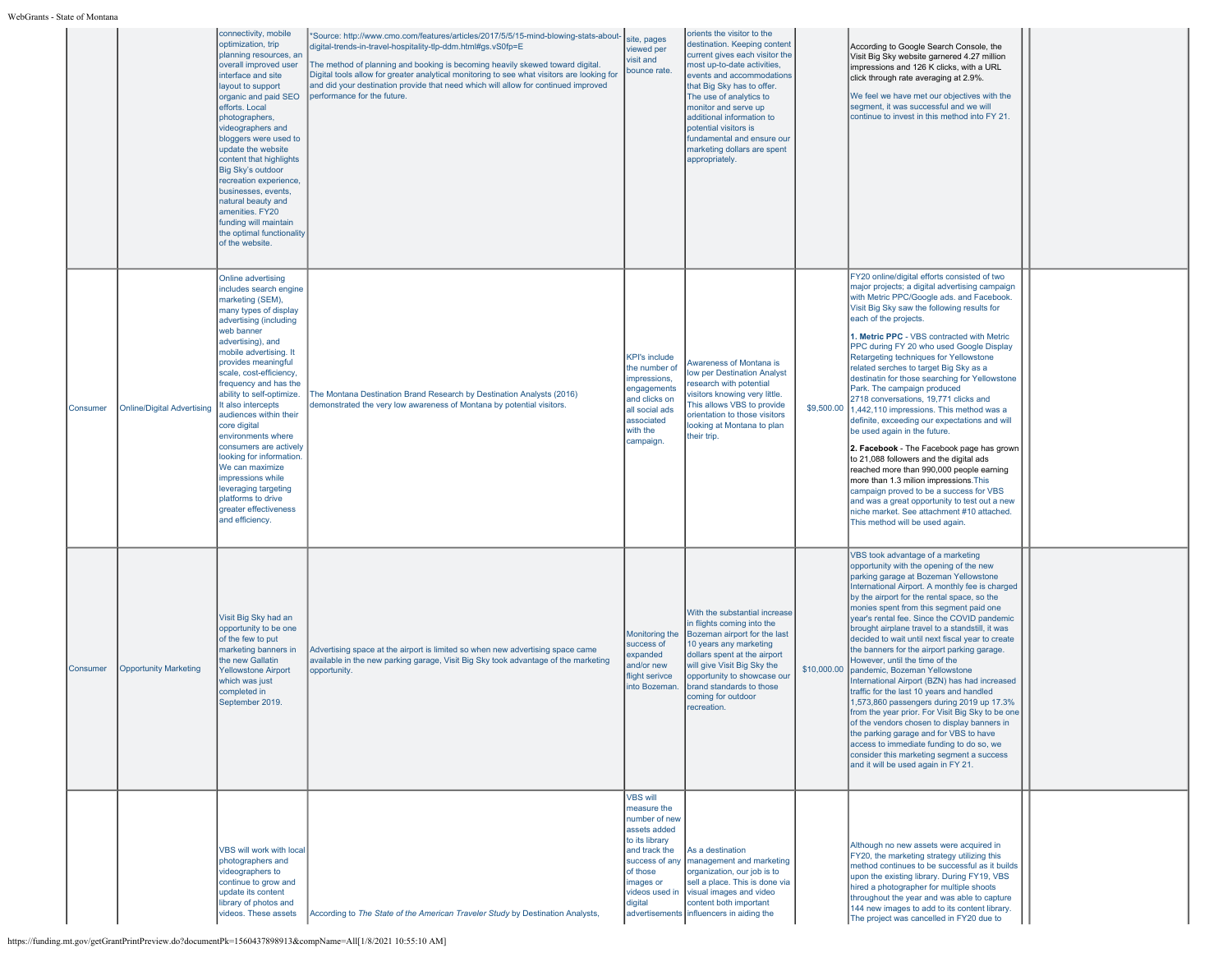WebGrants

| - State of Montana |                                   |                                                                                                                                                                                                                                                                                                                                                                                                                                                                                                                                                                        |                                                                                                                                                                                                                                                                                                                                                                                                                                                         |                                                                                                                                                                           |                                                                                                                                                                                                                                                                                                                                                                                |             |                                                                                                                                                                                                                                                                                                                                                                                                                                                                                                                                                                                                                                                                                                                                                                                                                                                                                                                                                                                                                     |  |
|--------------------|-----------------------------------|------------------------------------------------------------------------------------------------------------------------------------------------------------------------------------------------------------------------------------------------------------------------------------------------------------------------------------------------------------------------------------------------------------------------------------------------------------------------------------------------------------------------------------------------------------------------|---------------------------------------------------------------------------------------------------------------------------------------------------------------------------------------------------------------------------------------------------------------------------------------------------------------------------------------------------------------------------------------------------------------------------------------------------------|---------------------------------------------------------------------------------------------------------------------------------------------------------------------------|--------------------------------------------------------------------------------------------------------------------------------------------------------------------------------------------------------------------------------------------------------------------------------------------------------------------------------------------------------------------------------|-------------|---------------------------------------------------------------------------------------------------------------------------------------------------------------------------------------------------------------------------------------------------------------------------------------------------------------------------------------------------------------------------------------------------------------------------------------------------------------------------------------------------------------------------------------------------------------------------------------------------------------------------------------------------------------------------------------------------------------------------------------------------------------------------------------------------------------------------------------------------------------------------------------------------------------------------------------------------------------------------------------------------------------------|--|
|                    |                                   | connectivity, mobile<br>optimization, trip<br>planning resources, an<br>overall improved user<br>interface and site<br>layout to support<br>organic and paid SEO<br>efforts. Local<br>photographers,<br>videographers and<br>bloggers were used to<br>update the website<br>content that highlights<br>Big Sky's outdoor<br>recreation experience,<br>businesses, events,<br>natural beauty and<br>amenities. FY20<br>funding will maintain<br>the optimal functionality<br>of the website.                                                                            | *Source: http://www.cmo.com/features/articles/2017/5/5/15-mind-blowing-stats-about-<br>digital-trends-in-travel-hospitality-tlp-ddm.html#gs.vS0fp=E<br>The method of planning and booking is becoming heavily skewed toward digital.<br>Digital tools allow for greater analytical monitoring to see what visitors are looking for<br>and did your destination provide that need which will allow for continued improved<br>performance for the future. | ite, pages<br>viewed per<br>visit and<br>bounce rate.                                                                                                                     | orients the visitor to the<br>destination. Keeping content<br>current gives each visitor the<br>most up-to-date activities,<br>events and accommodations<br>that Big Sky has to offer.<br>The use of analytics to<br>monitor and serve up<br>additional information to<br>potential visitors is<br>fundamental and ensure our<br>marketing dollars are spent<br>appropriately. |             | According to Google Search Console, the<br>Visit Big Sky website garnered 4.27 million<br>impressions and 126 K clicks, with a URL<br>click through rate averaging at 2.9%.<br>We feel we have met our objectives with the<br>segment, it was successful and we will<br>continue to invest in this method into FY 21.                                                                                                                                                                                                                                                                                                                                                                                                                                                                                                                                                                                                                                                                                               |  |
| Consumer           | <b>Online/Digital Advertising</b> | Online advertising<br>includes search engine<br>marketing (SEM),<br>many types of display<br>advertising (including<br>web banner<br>advertising), and<br>mobile advertising. It<br>provides meaningful<br>scale, cost-efficiency,<br>frequency and has the<br>ability to self-optimize.<br>It also intercepts<br>audiences within their<br>core digital<br>environments where<br>consumers are actively<br>looking for information.<br>We can maximize<br>impressions while<br>leveraging targeting<br>platforms to drive<br>greater effectiveness<br>and efficiency. | The Montana Destination Brand Research by Destination Analysts (2016)<br>demonstrated the very low awareness of Montana by potential visitors.                                                                                                                                                                                                                                                                                                          | <b>KPI's include</b><br>the number of<br>mpressions,<br>engagements<br>and clicks on<br>all social ads<br>associated<br>with the<br>campaign                              | Awareness of Montana is<br>ow per Destination Analyst<br>research with potential<br>visitors knowing very little.<br>This allows VBS to provide<br>prientation to those visitors<br>looking at Montana to plan<br>their trip.                                                                                                                                                  | \$9,500.00  | FY20 online/digital efforts consisted of two<br>major projects; a digital advertising campaign<br>with Metric PPC/Google ads. and Facebook.<br>Visit Big Sky saw the following results for<br>each of the projects.<br>1. Metric PPC - VBS contracted with Metric<br>PPC during FY 20 who used Google Display<br>Retargeting techniques for Yellowstone<br>related serches to target Big Sky as a<br>destinatin for those searching for Yellowstone<br>Park. The campaign produced<br>2718 conversations, 19,771 clicks and<br>1,442,110 impressions. This method was a<br>definite, exceeding our expectations and will<br>be used again in the future.<br>2. Facebook - The Facebook page has grown<br>to 21,088 followers and the digital ads<br>reached more than 990,000 people earning<br>more than 1.3 milion impressions. This<br>campaign proved to be a success for VBS<br>and was a great opportunity to test out a new<br>niche market. See attachment #10 attached.<br>This method will be used again. |  |
| Consumer           | <b>Opportunity Marketing</b>      | Visit Big Sky had an<br>opportunity to be one<br>of the few to put<br>marketing banners in<br>the new Gallatin<br><b>Yellowstone Airport</b><br>which was just<br>completed in<br>September 2019.                                                                                                                                                                                                                                                                                                                                                                      | Advertising space at the airport is limited so when new advertising space came<br>available in the new parking garage, Visit Big Sky took advantage of the marketing<br>opportunity.                                                                                                                                                                                                                                                                    | Monitoring the<br>success of<br>expanded<br>and/or new<br>flight serivce<br>into Bozeman                                                                                  | With the substantial increase<br>in flights coming into the<br>Bozeman airport for the last<br>10 years any marketing<br>dollars spent at the airport<br>will give Visit Big Sky the<br>opportunity to showcase our<br>brand standards to those<br>coming for outdoor<br>recreation.                                                                                           | \$10,000.00 | VBS took advantage of a marketing<br>opportunity with the opening of the new<br>parking garage at Bozeman Yellowstone<br>International Airport. A monthly fee is charged<br>by the airport for the rental space, so the<br>monies spent from this segment paid one<br>vear's rental fee. Since the COVID pandemic<br>brought airplane travel to a standstill, it was<br>decided to wait until next fiscal year to create<br>the banners for the airport parking garage.<br>However, until the time of the<br>Ipandemic, Bozeman Yellowstone<br>International Airport (BZN) has had increased<br>traffic for the last 10 years and handled<br>1,573,860 passengers during 2019 up 17.3%<br>from the year prior. For Visit Big Sky to be one<br>of the vendors chosen to display banners in<br>the parking garage and for VBS to have<br>access to immediate funding to do so, we<br>consider this marketing segment a success<br>and it will be used again in FY 21.                                                 |  |
|                    |                                   | VBS will work with local<br>photographers and<br>videographers to<br>continue to grow and<br>update its content<br>library of photos and<br>videos. These assets                                                                                                                                                                                                                                                                                                                                                                                                       | According to The State of the American Traveler Study by Destination Analysts,                                                                                                                                                                                                                                                                                                                                                                          | <b>VBS will</b><br>measure the<br>number of new<br>assets added<br>to its library<br>and track the<br>success of any<br>of those<br>mages or<br>videos used in<br>digital | As a destination<br>management and marketing<br>organization, our job is to<br>sell a place. This is done via<br>visual images and video<br>content both important<br>advertisements influencers in aiding the                                                                                                                                                                 |             | Although no new assets were acquired in<br>FY20, the marketing strategy utilizing this<br>method continues to be successful as it builds<br>upon the existing library. During FY19, VBS<br>hired a photographer for multiple shoots<br>throughout the year and was able to capture<br>144 new images to add to its content library.<br>The project was cancelled in FY20 due to                                                                                                                                                                                                                                                                                                                                                                                                                                                                                                                                                                                                                                     |  |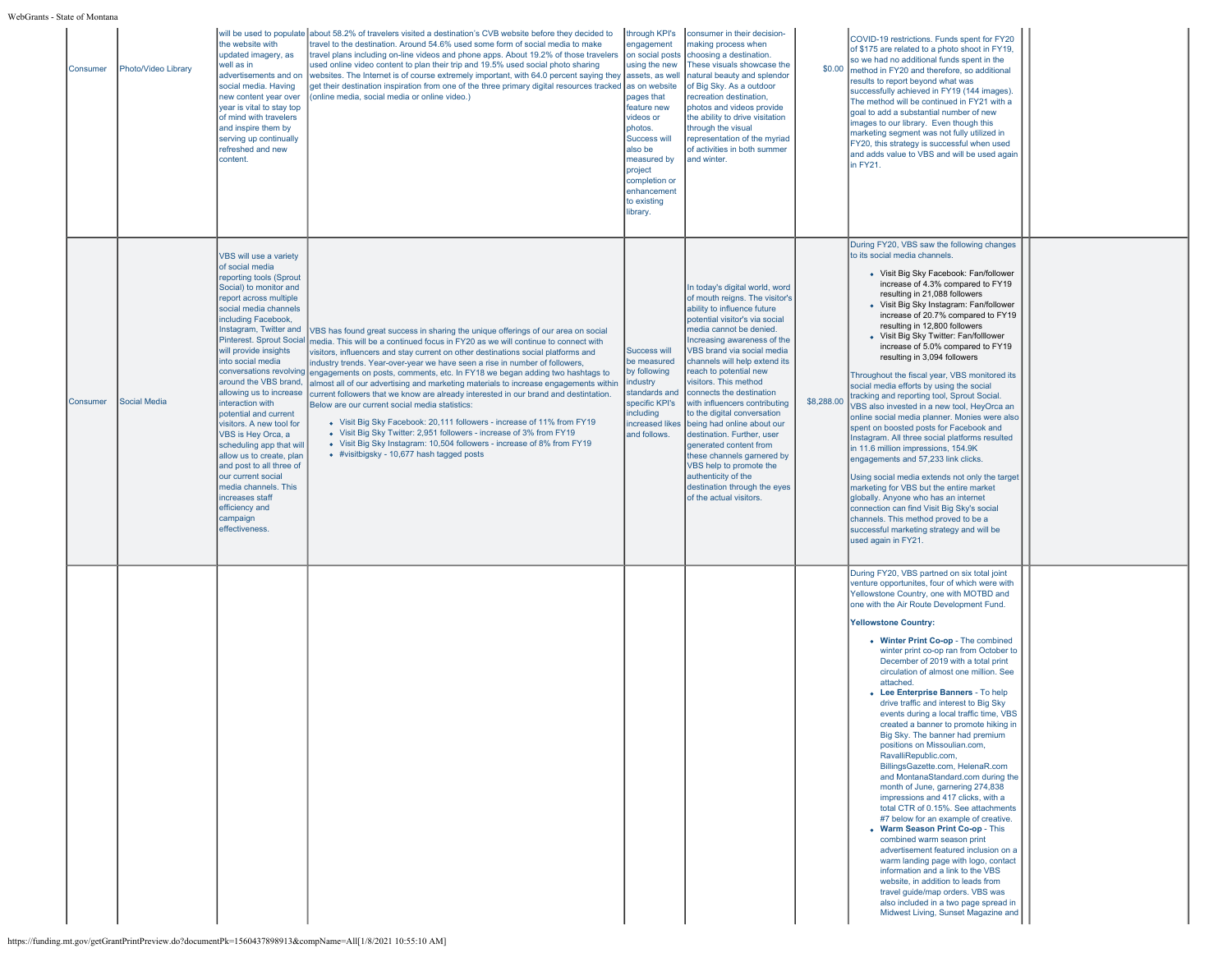# WebGrants - State of Mon

| s - State of Montana |                     |                                                                                                                                                                                                                                                                                                                                                                                                                                                                                                                                                                                                                                                   |                                                                                                                                                                                                                                                                                                                                                                                                                                                                                                                                                                                                                                                                                                                                                                                                                                                                                                                                                              |                                                                                                                                                                                                                                                                |                                                                                                                                                                                                                                                                                                                                                                                                                                                                                                                                                                                                                                            |            |                                                                                                                                                                                                                                                                                                                                                                                                                                                                                                                                                                                                                                                                                                                                                                                                                                                                                                                                                                                                                                                                                                                                                                                                                                                      |  |
|----------------------|---------------------|---------------------------------------------------------------------------------------------------------------------------------------------------------------------------------------------------------------------------------------------------------------------------------------------------------------------------------------------------------------------------------------------------------------------------------------------------------------------------------------------------------------------------------------------------------------------------------------------------------------------------------------------------|--------------------------------------------------------------------------------------------------------------------------------------------------------------------------------------------------------------------------------------------------------------------------------------------------------------------------------------------------------------------------------------------------------------------------------------------------------------------------------------------------------------------------------------------------------------------------------------------------------------------------------------------------------------------------------------------------------------------------------------------------------------------------------------------------------------------------------------------------------------------------------------------------------------------------------------------------------------|----------------------------------------------------------------------------------------------------------------------------------------------------------------------------------------------------------------------------------------------------------------|--------------------------------------------------------------------------------------------------------------------------------------------------------------------------------------------------------------------------------------------------------------------------------------------------------------------------------------------------------------------------------------------------------------------------------------------------------------------------------------------------------------------------------------------------------------------------------------------------------------------------------------------|------------|------------------------------------------------------------------------------------------------------------------------------------------------------------------------------------------------------------------------------------------------------------------------------------------------------------------------------------------------------------------------------------------------------------------------------------------------------------------------------------------------------------------------------------------------------------------------------------------------------------------------------------------------------------------------------------------------------------------------------------------------------------------------------------------------------------------------------------------------------------------------------------------------------------------------------------------------------------------------------------------------------------------------------------------------------------------------------------------------------------------------------------------------------------------------------------------------------------------------------------------------------|--|
| Consumer             | Photo/Video Library | the website with<br>updated imagery, as<br>well as in<br>advertisements and on<br>social media. Having<br>new content year over<br>year is vital to stay top<br>of mind with travelers<br>and inspire them by<br>serving up continually<br>refreshed and new<br>content.                                                                                                                                                                                                                                                                                                                                                                          | will be used to populate about 58.2% of travelers visited a destination's CVB website before they decided to<br>travel to the destination. Around 54.6% used some form of social media to make<br>travel plans including on-line videos and phone apps. About 19.2% of those travelers<br>used online video content to plan their trip and 19.5% used social photo sharing<br>websites. The Internet is of course extremely important, with 64.0 percent saying they<br>get their destination inspiration from one of the three primary digital resources tracked as on website<br>(online media, social media or online video.)                                                                                                                                                                                                                                                                                                                             | through KPI's<br>engagement<br>on social posts<br>using the new<br>assets, as well<br>pages that<br>feature new<br>videos or<br>photos.<br><b>Success will</b><br>also be<br>measured by<br>project<br>completion or<br>enhancement<br>to existing<br>library. | consumer in their decision-<br>naking process when<br>choosing a destination.<br>These visuals showcase the<br>natural beauty and splendor<br>of Big Sky. As a outdoor<br>recreation destination,<br>photos and videos provide<br>the ability to drive visitation<br>through the visual<br>representation of the myriad<br>of activities in both summer<br>and winter.                                                                                                                                                                                                                                                                     |            | COVID-19 restrictions. Funds spent for FY20<br>of \$175 are related to a photo shoot in FY19,<br>so we had no additional funds spent in the<br>\$0.00 method in FY20 and therefore, so additional<br>results to report beyond what was<br>successfully achieved in FY19 (144 images).<br>The method will be continued in FY21 with a<br>goal to add a substantial number of new<br>images to our library. Even though this<br>marketing segment was not fully utilized in<br>FY20, this strategy is successful when used<br>and adds value to VBS and will be used again<br>in FY21.                                                                                                                                                                                                                                                                                                                                                                                                                                                                                                                                                                                                                                                                 |  |
| Consumer             | Social Media        | <b>VBS will use a variety</b><br>of social media<br>reporting tools (Sprout<br>Social) to monitor and<br>report across multiple<br>social media channels<br>including Facebook,<br>Instagram, Twitter and<br><b>Pinterest. Sprout Social</b><br>will provide insights<br>into social media<br>around the VBS brand.<br>allowing us to increase<br>interaction with<br>potential and current<br>visitors. A new tool for<br>VBS is Hey Orca, a<br>scheduling app that will<br>allow us to create, plan<br>and post to all three of<br>our current social<br>media channels. This<br>increases staff<br>efficiency and<br>campaign<br>effectiveness | VBS has found great success in sharing the unique offerings of our area on social<br>media. This will be a continued focus in FY20 as we will continue to connect with<br>visitors, influencers and stay current on other destinations social platforms and<br>industry trends. Year-over-vear we have seen a rise in number of followers.<br>conversations revolving engagements on posts, comments, etc. In FY18 we began adding two hashtags to<br>almost all of our advertising and marketing materials to increase engagements within<br>current followers that we know are already interested in our brand and destintation.<br>Below are our current social media statistics:<br>• Visit Big Sky Facebook: 20,111 followers - increase of 11% from FY19<br>• Visit Big Sky Twitter: 2.951 followers - increase of 3% from FY19<br>• Visit Big Sky Instagram: 10,504 followers - increase of 8% from FY19<br>• #visitbigsky - 10,677 hash tagged posts | Success will<br>be measured<br>by following<br>industry<br>standards and<br>specific KPI's<br>including<br>increased likes<br>and follows.                                                                                                                     | In today's digital world, word<br>of mouth reigns. The visitor's<br>ability to influence future<br>potential visitor's via social<br>media cannot be denied.<br>Increasing awareness of the<br>VBS brand via social media<br>channels will help extend its<br>reach to potential new<br>visitors. This method<br>connects the destination<br>with influencers contributing<br>to the digital conversation<br>being had online about our<br>destination. Further, user<br>generated content from<br>these channels garnered by<br>VBS help to promote the<br>authenticity of the<br>destination through the eyes<br>of the actual visitors. | \$8,288.00 | During FY20, VBS saw the following changes<br>to its social media channels.<br>· Visit Big Sky Facebook: Fan/follower<br>increase of 4.3% compared to FY19<br>resulting in 21,088 followers<br>• Visit Big Sky Instagram: Fan/follower<br>increase of 20.7% compared to FY19<br>resulting in 12,800 followers<br>• Visit Big Sky Twitter: Fan/folllower<br>increase of 5.0% compared to FY19<br>resulting in 3,094 followers<br>Throughout the fiscal year, VBS monitored its<br>social media efforts by using the social<br>tracking and reporting tool, Sprout Social.<br>VBS also invested in a new tool, HeyOrca an<br>online social media planner. Monies were also<br>spent on boosted posts for Facebook and<br>Instagram. All three social platforms resulted<br>in 11.6 million impressions, 154.9K<br>engagements and 57,233 link clicks.<br>Using social media extends not only the target<br>marketing for VBS but the entire market<br>globally. Anyone who has an internet<br>connection can find Visit Big Sky's social<br>channels. This method proved to be a<br>successful marketing strategy and will be<br>used again in FY21.                                                                                                   |  |
|                      |                     |                                                                                                                                                                                                                                                                                                                                                                                                                                                                                                                                                                                                                                                   |                                                                                                                                                                                                                                                                                                                                                                                                                                                                                                                                                                                                                                                                                                                                                                                                                                                                                                                                                              |                                                                                                                                                                                                                                                                |                                                                                                                                                                                                                                                                                                                                                                                                                                                                                                                                                                                                                                            |            | During FY20, VBS partned on six total joint<br>venture opportunites, four of which were with<br>Yellowstone Country, one with MOTBD and<br>one with the Air Route Development Fund.<br><b>Yellowstone Country:</b><br>• Winter Print Co-op - The combined<br>winter print co-op ran from October to<br>December of 2019 with a total print<br>circulation of almost one million. See<br>attached.<br>• Lee Enterprise Banners - To help<br>drive traffic and interest to Big Sky<br>events during a local traffic time, VBS<br>created a banner to promote hiking in<br>Big Sky. The banner had premium<br>positions on Missoulian.com,<br>RavalliRepublic.com,<br>BillingsGazette.com, HelenaR.com<br>and MontanaStandard.com during the<br>month of June, garnering 274,838<br>impressions and 417 clicks, with a<br>total CTR of 0.15%. See attachments<br>#7 below for an example of creative.<br>• Warm Season Print Co-op - This<br>combined warm season print<br>advertisement featured inclusion on a<br>warm landing page with logo, contact<br>information and a link to the VBS<br>website, in addition to leads from<br>travel guide/map orders. VBS was<br>also included in a two page spread in<br>Midwest Living, Sunset Magazine and |  |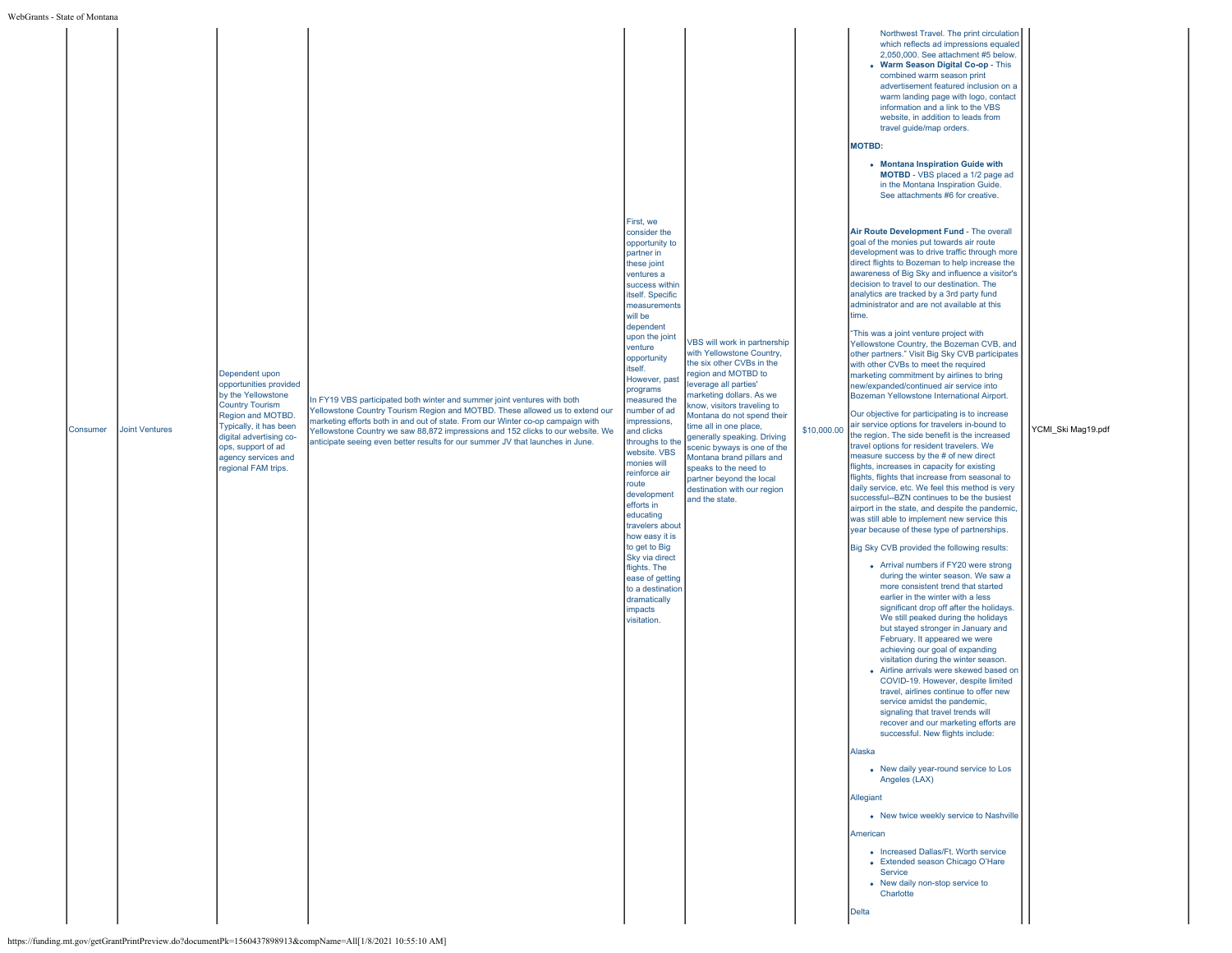| Consumer | <b>Joint Ventures</b> | Dependent upon<br>opportunities provided<br>by the Yellowstone<br><b>Country Tourism</b><br>Region and MOTBD.<br>Typically, it has been<br>digital advertising co-<br>ops, support of ad<br>agency services and<br>regional FAM trips. | In FY19 VBS participated both winter and summer joint ventures with both<br>Yellowstone Country Tourism Region and MOTBD. These allowed us to extend our<br>narketing efforts both in and out of state. From our Winter co-op campaign with<br>Yellowstone Country we saw 88,872 impressions and 152 clicks to our website. We<br>anticipate seeing even better results for our summer JV that launches in June. | First, we<br>consider the<br>opportunity to<br>partner in<br>these joint<br>ventures a<br>success within<br>itself. Specific<br>measurements<br>will be<br>dependent<br>upon the joint<br>venture<br>opportunity<br>itself.<br>However, past<br>programs<br>measured the<br>number of ad<br>impressions,<br>and clicks<br>throughs to the<br>website. VBS<br>monies will<br>reinforce air<br>route<br>development<br>efforts in<br>educating<br>travelers about<br>how easy it is<br>to get to Big<br>Sky via direct<br>flights. The<br>ease of getting<br>to a destination<br>dramatically<br>impacts<br>visitation. | VBS will work in partnership<br>with Yellowstone Country.<br>the six other CVBs in the<br>region and MOTBD to<br>leverage all parties'<br>marketing dollars. As we<br>know, visitors traveling to<br>Montana do not spend their<br>time all in one place,<br>generally speaking. Driving<br>scenic byways is one of the<br>Montana brand pillars and<br>speaks to the need to<br>partner beyond the local<br>destination with our region<br>and the state. | \$10,000.00 | Northwest Travel. The print circulation<br>which reflects ad impressions equaled<br>2,050,000. See attachment #5 below<br>• Warm Season Digital Co-op - This<br>combined warm season print<br>advertisement featured inclusion on a<br>warm landing page with logo, contact<br>information and a link to the VBS<br>website, in addition to leads from<br>travel guide/map orders.<br><b>MOTBD:</b><br>• Montana Inspiration Guide with<br>MOTBD - VBS placed a 1/2 page ad<br>in the Montana Inspiration Guide.<br>See attachments #6 for creative.<br>Air Route Development Fund - The overall<br>goal of the monies put towards air route<br>development was to drive traffic through more<br>direct flights to Bozeman to help increase the<br>awareness of Big Sky and influence a visitor's<br>decision to travel to our destination. The<br>analytics are tracked by a 3rd party fund<br>administrator and are not available at this<br>time.<br>"This was a joint venture project with<br>Yellowstone Country, the Bozeman CVB, and<br>other partners." Visit Big Sky CVB participates<br>with other CVBs to meet the required<br>marketing commitment by airlines to bring<br>new/expanded/continued air service into<br>Bozeman Yellowstone International Airport.<br>Our objective for participating is to increase<br>air service options for travelers in-bound to<br>the region. The side benefit is the increased<br>travel options for resident travelers. We<br>measure success by the # of new direct<br>flights, increases in capacity for existing<br>flights, flights that increase from seasonal to<br>daily service, etc. We feel this method is very<br>successful--BZN continues to be the busiest<br>airport in the state, and despite the pandemic,<br>was still able to implement new service this<br>year because of these type of partnerships.<br>Big Sky CVB provided the following results:<br>• Arrival numbers if FY20 were strong<br>during the winter season. We saw a<br>more consistent trend that started<br>earlier in the winter with a less<br>significant drop off after the holidays.<br>We still peaked during the holidays<br>but stayed stronger in January and<br>February. It appeared we were<br>achieving our goal of expanding<br>visitation during the winter season.<br>• Airline arrivals were skewed based on<br>COVID-19. However, despite limited<br>travel, airlines continue to offer new<br>service amidst the pandemic,<br>signaling that travel trends will<br>recover and our marketing efforts are<br>successful. New flights include:<br>Alaska<br>• New daily year-round service to Los<br>Angeles (LAX)<br>Allegiant<br>• New twice weekly service to Nashville<br>American<br>• Increased Dallas/Ft. Worth service<br>• Extended season Chicago O'Hare<br>Service<br>• New daily non-stop service to<br>Charlotte<br>Delta | YCMI Ski Mag19.pdf |
|----------|-----------------------|----------------------------------------------------------------------------------------------------------------------------------------------------------------------------------------------------------------------------------------|------------------------------------------------------------------------------------------------------------------------------------------------------------------------------------------------------------------------------------------------------------------------------------------------------------------------------------------------------------------------------------------------------------------|-----------------------------------------------------------------------------------------------------------------------------------------------------------------------------------------------------------------------------------------------------------------------------------------------------------------------------------------------------------------------------------------------------------------------------------------------------------------------------------------------------------------------------------------------------------------------------------------------------------------------|------------------------------------------------------------------------------------------------------------------------------------------------------------------------------------------------------------------------------------------------------------------------------------------------------------------------------------------------------------------------------------------------------------------------------------------------------------|-------------|--------------------------------------------------------------------------------------------------------------------------------------------------------------------------------------------------------------------------------------------------------------------------------------------------------------------------------------------------------------------------------------------------------------------------------------------------------------------------------------------------------------------------------------------------------------------------------------------------------------------------------------------------------------------------------------------------------------------------------------------------------------------------------------------------------------------------------------------------------------------------------------------------------------------------------------------------------------------------------------------------------------------------------------------------------------------------------------------------------------------------------------------------------------------------------------------------------------------------------------------------------------------------------------------------------------------------------------------------------------------------------------------------------------------------------------------------------------------------------------------------------------------------------------------------------------------------------------------------------------------------------------------------------------------------------------------------------------------------------------------------------------------------------------------------------------------------------------------------------------------------------------------------------------------------------------------------------------------------------------------------------------------------------------------------------------------------------------------------------------------------------------------------------------------------------------------------------------------------------------------------------------------------------------------------------------------------------------------------------------------------------------------------------------------------------------------------------------------------------------------------------------------------------------------------------------------------------------------------------------------------------------------------------------------------------------------------------------------------------------------------------------------------------------------------------------------------------------------------------------------------------------------------|--------------------|
|----------|-----------------------|----------------------------------------------------------------------------------------------------------------------------------------------------------------------------------------------------------------------------------------|------------------------------------------------------------------------------------------------------------------------------------------------------------------------------------------------------------------------------------------------------------------------------------------------------------------------------------------------------------------------------------------------------------------|-----------------------------------------------------------------------------------------------------------------------------------------------------------------------------------------------------------------------------------------------------------------------------------------------------------------------------------------------------------------------------------------------------------------------------------------------------------------------------------------------------------------------------------------------------------------------------------------------------------------------|------------------------------------------------------------------------------------------------------------------------------------------------------------------------------------------------------------------------------------------------------------------------------------------------------------------------------------------------------------------------------------------------------------------------------------------------------------|-------------|--------------------------------------------------------------------------------------------------------------------------------------------------------------------------------------------------------------------------------------------------------------------------------------------------------------------------------------------------------------------------------------------------------------------------------------------------------------------------------------------------------------------------------------------------------------------------------------------------------------------------------------------------------------------------------------------------------------------------------------------------------------------------------------------------------------------------------------------------------------------------------------------------------------------------------------------------------------------------------------------------------------------------------------------------------------------------------------------------------------------------------------------------------------------------------------------------------------------------------------------------------------------------------------------------------------------------------------------------------------------------------------------------------------------------------------------------------------------------------------------------------------------------------------------------------------------------------------------------------------------------------------------------------------------------------------------------------------------------------------------------------------------------------------------------------------------------------------------------------------------------------------------------------------------------------------------------------------------------------------------------------------------------------------------------------------------------------------------------------------------------------------------------------------------------------------------------------------------------------------------------------------------------------------------------------------------------------------------------------------------------------------------------------------------------------------------------------------------------------------------------------------------------------------------------------------------------------------------------------------------------------------------------------------------------------------------------------------------------------------------------------------------------------------------------------------------------------------------------------------------------------------------------|--------------------|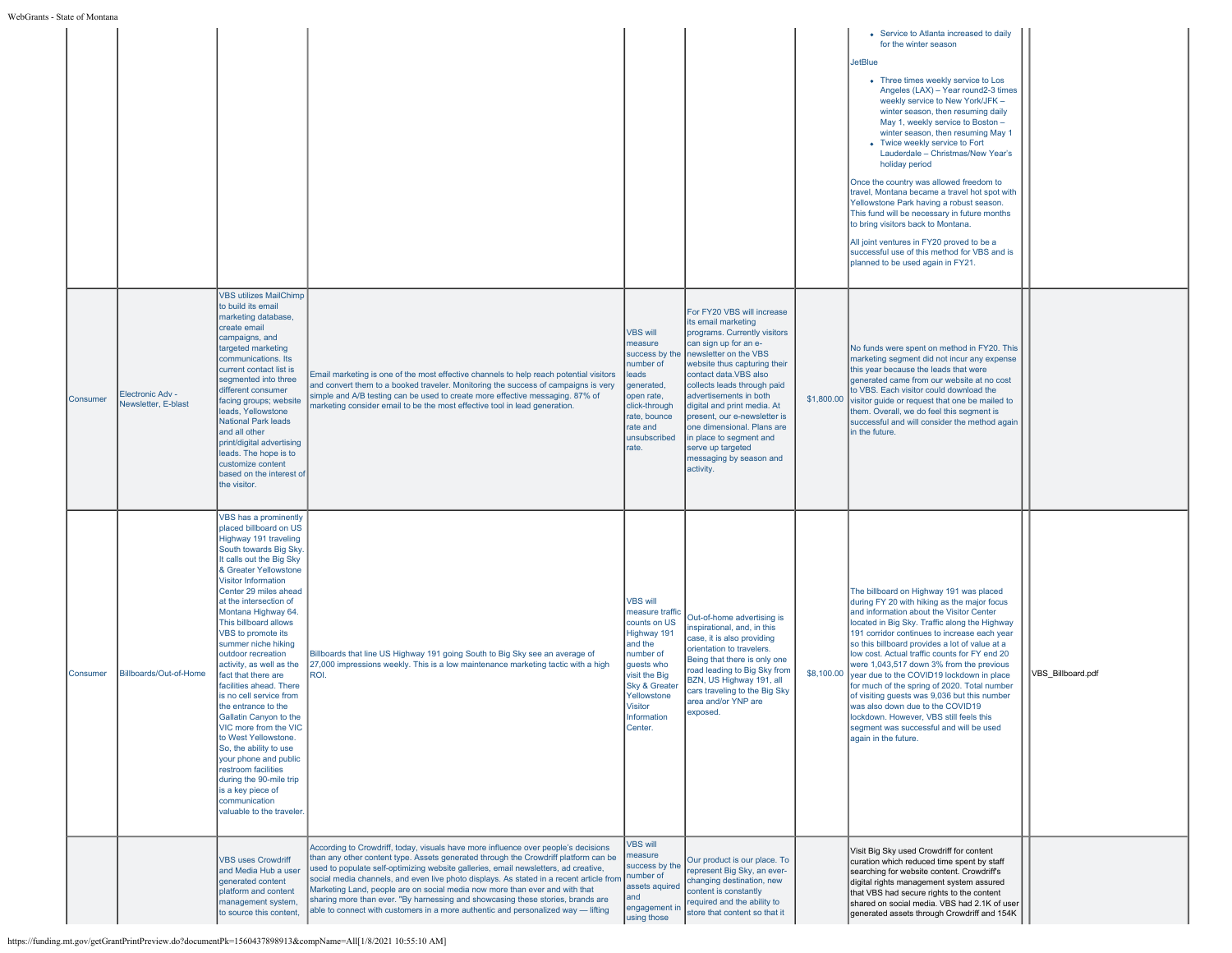| raic of ivionial |                                         |                                                                                                                                                                                                                                                                                                                                                                                                                                                                                                                                                                                                                                                                                                                                            |                                                                                                                                                                                                                                                                                                                                                                                                                                                                                                                                                                                                                    |                                                                                                                                                                                                                 |                                                                                                                                                                                                                                                                                                                                                                                                                                            |                                                                                                                                                                                                                                                                                                                                                                                                                                                                                                                                                                                                                                                                                                                                                                                |                   |
|------------------|-----------------------------------------|--------------------------------------------------------------------------------------------------------------------------------------------------------------------------------------------------------------------------------------------------------------------------------------------------------------------------------------------------------------------------------------------------------------------------------------------------------------------------------------------------------------------------------------------------------------------------------------------------------------------------------------------------------------------------------------------------------------------------------------------|--------------------------------------------------------------------------------------------------------------------------------------------------------------------------------------------------------------------------------------------------------------------------------------------------------------------------------------------------------------------------------------------------------------------------------------------------------------------------------------------------------------------------------------------------------------------------------------------------------------------|-----------------------------------------------------------------------------------------------------------------------------------------------------------------------------------------------------------------|--------------------------------------------------------------------------------------------------------------------------------------------------------------------------------------------------------------------------------------------------------------------------------------------------------------------------------------------------------------------------------------------------------------------------------------------|--------------------------------------------------------------------------------------------------------------------------------------------------------------------------------------------------------------------------------------------------------------------------------------------------------------------------------------------------------------------------------------------------------------------------------------------------------------------------------------------------------------------------------------------------------------------------------------------------------------------------------------------------------------------------------------------------------------------------------------------------------------------------------|-------------------|
|                  |                                         |                                                                                                                                                                                                                                                                                                                                                                                                                                                                                                                                                                                                                                                                                                                                            |                                                                                                                                                                                                                                                                                                                                                                                                                                                                                                                                                                                                                    |                                                                                                                                                                                                                 |                                                                                                                                                                                                                                                                                                                                                                                                                                            | • Service to Atlanta increased to daily<br>for the winter season<br><b>JetBlue</b><br>• Three times weekly service to Los<br>Angeles (LAX) - Year round2-3 times<br>weekly service to New York/JFK -<br>winter season, then resuming daily<br>May 1, weekly service to Boston -<br>winter season, then resuming May 1<br>• Twice weekly service to Fort<br>Lauderdale - Christmas/New Year's<br>holiday period<br>Once the country was allowed freedom to<br>travel, Montana became a travel hot spot with<br>Yellowstone Park having a robust season.<br>This fund will be necessary in future months<br>to bring visitors back to Montana.<br>All joint ventures in FY20 proved to be a<br>successful use of this method for VBS and is<br>planned to be used again in FY21. |                   |
| Consumer         | Electronic Adv -<br>Newsletter, E-blast | <b>VBS utilizes MailChimp</b><br>to build its email<br>marketing database,<br>create email<br>campaigns, and<br>targeted marketing<br>communications. Its<br>current contact list is<br>segmented into three<br>different consumer<br>facing groups; website<br>leads, Yellowstone<br><b>National Park leads</b><br>and all other<br>print/digital advertising<br>leads. The hope is to<br>customize content<br>based on the interest of<br>the visitor.                                                                                                                                                                                                                                                                                   | Email marketing is one of the most effective channels to help reach potential visitors<br>and convert them to a booked traveler. Monitoring the success of campaigns is very<br>simple and A/B testing can be used to create more effective messaging. 87% of<br>marketing consider email to be the most effective tool in lead generation.                                                                                                                                                                                                                                                                        | <b>VBS will</b><br>measure<br>success by the<br>number of<br>eads<br>generated,<br>open rate,<br>click-through<br>rate, bounce<br>rate and<br>unsubscribed<br>rate.                                             | For FY20 VBS will increase<br>its email marketing<br>programs. Currently visitors<br>can sign up for an e-<br>newsletter on the VBS<br>website thus capturing their<br>contact data.VBS also<br>collects leads through paid<br>advertisements in both<br>digital and print media. At<br>present, our e-newsletter is<br>one dimensional. Plans are<br>in place to segment and<br>serve up targeted<br>messaging by season and<br>activity. | No funds were spent on method in FY20. This<br>marketing segment did not incur any expense<br>this year because the leads that were<br>qenerated came from our website at no cost<br>to VBS. Each visitor could download the<br>\$1,800.00 visitor guide or request that one be mailed to<br>them. Overall, we do feel this segment is<br>successful and will consider the method again<br>in the future.                                                                                                                                                                                                                                                                                                                                                                      |                   |
| Consumer         | Billboards/Out-of-Home                  | VBS has a prominently<br>placed billboard on US<br>Highway 191 traveling<br>South towards Big Sky<br>t calls out the Big Sky<br>& Greater Yellowstone<br><b>Visitor Information</b><br>Center 29 miles ahead<br>at the intersection of<br>Montana Highway 64.<br>This billboard allows<br>VBS to promote its<br>summer niche hiking<br>outdoor recreation<br>activity, as well as the<br>fact that there are<br>facilities ahead. There<br>is no cell service from<br>the entrance to the<br>Gallatin Canyon to the<br>VIC more from the VIC<br>to West Yellowstone.<br>So, the ability to use<br>your phone and public<br>estroom facilities<br>during the 90-mile trip<br>is a key piece of<br>communication<br>valuable to the traveler | Billboards that line US Highway 191 going South to Big Sky see an average of<br>27,000 impressions weekly. This is a low maintenance marketing tactic with a high<br>ROI.                                                                                                                                                                                                                                                                                                                                                                                                                                          | <b>VBS will</b><br>measure traffic<br>counts on US<br>Highway 191<br>and the<br>number of<br>quests who<br>visit the Big<br><b>Sky &amp; Greater</b><br>Yellowstone<br><b>Visitor</b><br>Information<br>Center. | Out-of-home advertising is<br>inspirational, and, in this<br>case, it is also providing<br>orientation to travelers.<br>Being that there is only one<br>road leading to Big Sky from<br>BZN, US Highway 191, all<br>cars traveling to the Big Sky<br>area and/or YNP are<br>exposed.                                                                                                                                                       | The billboard on Highway 191 was placed<br>during FY 20 with hiking as the major focus<br>and information about the Visitor Center<br>located in Big Sky. Traffic along the Highway<br>191 corridor continues to increase each year<br>so this billboard provides a lot of value at a<br>low cost. Actual traffic counts for FY end 20<br>were 1,043,517 down 3% from the previous<br>\$8,100.00 year due to the COVID19 lockdown in place<br>for much of the spring of 2020. Total number<br>of visiting quests was 9,036 but this number<br>was also down due to the COVID19<br>lockdown. However, VBS still feels this<br>segment was successful and will be used<br>again in the future.                                                                                   | VBS Billboard.pdf |
|                  |                                         | <b>VBS uses Crowdriff</b><br>and Media Hub a user<br>generated content<br>platform and content<br>management system,<br>to source this content                                                                                                                                                                                                                                                                                                                                                                                                                                                                                                                                                                                             | According to Crowdriff, today, visuals have more influence over people's decisions<br>than any other content type. Assets generated through the Crowdriff platform can be<br>used to populate self-optimizing website galleries, email newsletters, ad creative,<br>social media channels, and even live photo displays. As stated in a recent article from<br>Marketing Land, people are on social media now more than ever and with that<br>sharing more than ever. "By harnessing and showcasing these stories, brands are<br>able to connect with customers in a more authentic and personalized way - lifting | <b>VBS will</b><br>neasure<br>success by the<br>number of<br>assets aquired<br>and<br>engagement in<br>using those                                                                                              | Our product is our place. To<br>represent Big Sky, an ever-<br>changing destination, new<br>content is constantly<br>required and the ability to<br>store that content so that it                                                                                                                                                                                                                                                          | Visit Big Sky used Crowdriff for content<br>curation which reduced time spent by staff<br>searching for website content. Crowdriff's<br>digital rights management system assured<br>that VBS had secure rights to the content<br>shared on social media. VBS had 2.1K of user<br>generated assets through Crowdriff and 154K                                                                                                                                                                                                                                                                                                                                                                                                                                                   |                   |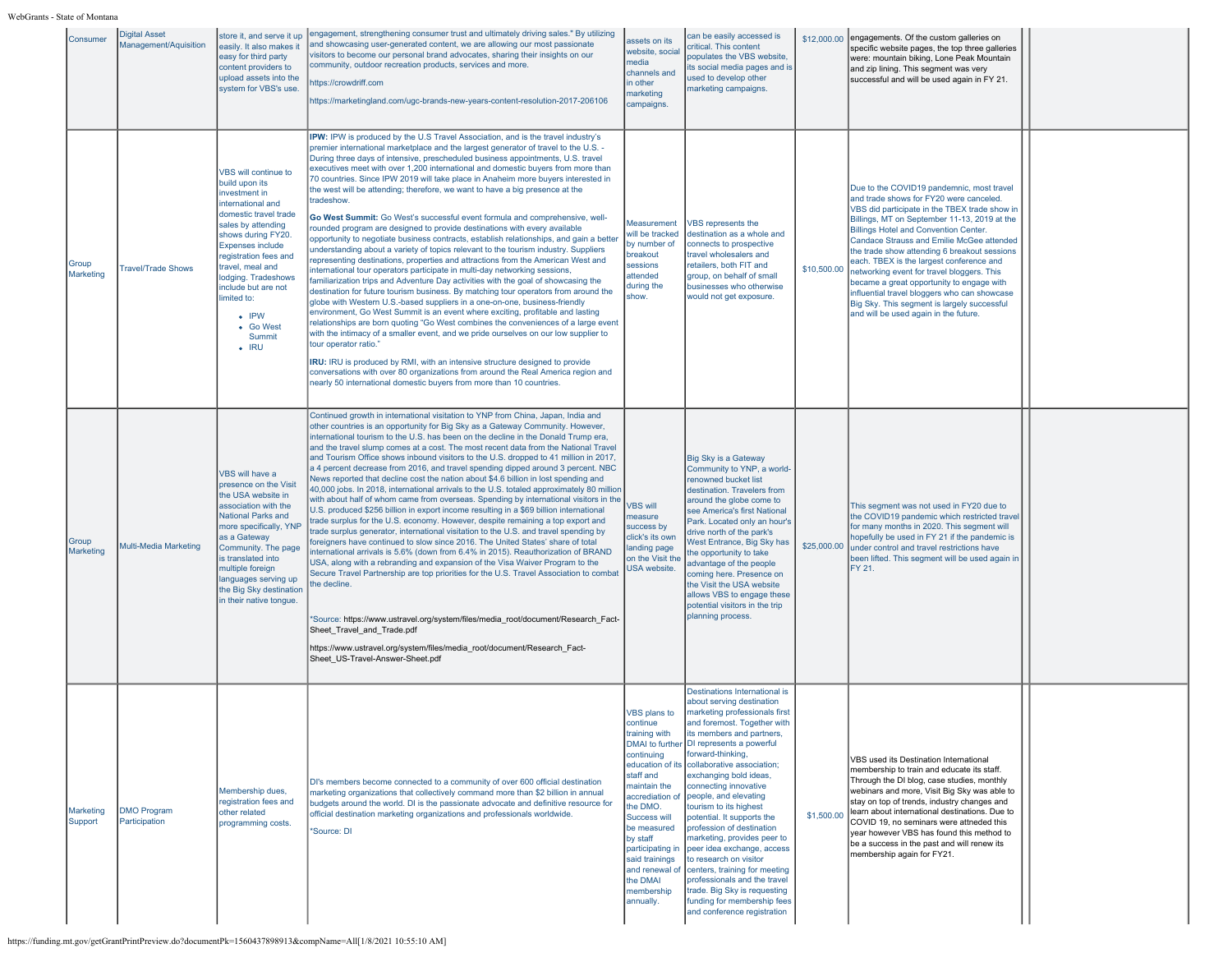| Consumer             | <b>Digital Asset</b><br>Management/Aquisition | store it, and serve it up<br>easily. It also makes it<br>easy for third party<br>content providers to<br>upload assets into the<br>system for VBS's use.                                                                                                                                                                                     | engagement, strengthening consumer trust and ultimately driving sales." By utilizing<br>and showcasing user-generated content, we are allowing our most passionate<br>visitors to become our personal brand advocates, sharing their insights on our<br>community, outdoor recreation products, services and more.<br>https://crowdriff.com<br>https://marketingland.com/ugc-brands-new-years-content-resolution-2017-206106                                                                                                                                                                                                                                                                                                                                                                                                                                                                                                                                                                                                                                                                                                                                                                                                                                                                                                                                                                                                                                                                                                                                                                                                                                                                                                                                                                                                                            | assets on its<br>website, social<br>media<br>channels and<br>in other<br>narketing<br>campaigns.                                                                                                                                          | can be easily accessed is<br>critical. This content<br>populates the VBS website,<br>ts social media pages and is<br>used to develop other<br>marketing campaigns.                                                                                                                                                                                                                                                                                                                                                                                                                                                                                                                                            |             | \$12,000.00 engagements. Of the custom galleries on<br>specific website pages, the top three galleries<br>were: mountain biking, Lone Peak Mountain<br>and zip lining. This segment was very<br>successful and will be used again in FY 21.                                                                                                                                                                                                                                                                                                                                                                      |  |
|----------------------|-----------------------------------------------|----------------------------------------------------------------------------------------------------------------------------------------------------------------------------------------------------------------------------------------------------------------------------------------------------------------------------------------------|---------------------------------------------------------------------------------------------------------------------------------------------------------------------------------------------------------------------------------------------------------------------------------------------------------------------------------------------------------------------------------------------------------------------------------------------------------------------------------------------------------------------------------------------------------------------------------------------------------------------------------------------------------------------------------------------------------------------------------------------------------------------------------------------------------------------------------------------------------------------------------------------------------------------------------------------------------------------------------------------------------------------------------------------------------------------------------------------------------------------------------------------------------------------------------------------------------------------------------------------------------------------------------------------------------------------------------------------------------------------------------------------------------------------------------------------------------------------------------------------------------------------------------------------------------------------------------------------------------------------------------------------------------------------------------------------------------------------------------------------------------------------------------------------------------------------------------------------------------|-------------------------------------------------------------------------------------------------------------------------------------------------------------------------------------------------------------------------------------------|---------------------------------------------------------------------------------------------------------------------------------------------------------------------------------------------------------------------------------------------------------------------------------------------------------------------------------------------------------------------------------------------------------------------------------------------------------------------------------------------------------------------------------------------------------------------------------------------------------------------------------------------------------------------------------------------------------------|-------------|------------------------------------------------------------------------------------------------------------------------------------------------------------------------------------------------------------------------------------------------------------------------------------------------------------------------------------------------------------------------------------------------------------------------------------------------------------------------------------------------------------------------------------------------------------------------------------------------------------------|--|
| Group<br>Marketing   | <b>Travel/Trade Shows</b>                     | VBS will continue to<br>build upon its<br>investment in<br>international and<br>domestic travel trade<br>sales by attending<br>shows during FY20<br><b>Expenses include</b><br>registration fees and<br>travel, meal and<br>lodging. Tradeshows<br>include but are not<br>limited to:<br>$\cdot$ IPW<br>• Go West<br>Summit<br>$\bullet$ IRU | <b>IPW:</b> IPW is produced by the U.S Travel Association, and is the travel industry's<br>premier international marketplace and the largest generator of travel to the U.S. -<br>During three days of intensive, prescheduled business appointments, U.S. travel<br>executives meet with over 1,200 international and domestic buyers from more than<br>70 countries. Since IPW 2019 will take place in Anaheim more buyers interested in<br>the west will be attending; therefore, we want to have a big presence at the<br>tradeshow.<br>Go West Summit: Go West's successful event formula and comprehensive, well-<br>rounded program are designed to provide destinations with every available<br>opportunity to negotiate business contracts, establish relationships, and gain a better<br>understanding about a variety of topics relevant to the tourism industry. Suppliers<br>representing destinations, properties and attractions from the American West and<br>international tour operators participate in multi-day networking sessions,<br>familiarization trips and Adventure Day activities with the goal of showcasing the<br>destination for future tourism business. By matching tour operators from around the<br>globe with Western U.S.-based suppliers in a one-on-one, business-friendly<br>environment, Go West Summit is an event where exciting, profitable and lasting<br>relationships are born quoting "Go West combines the conveniences of a large event<br>with the intimacy of a smaller event, and we pride ourselves on our low supplier to<br>tour operator ratio."<br>IRU: IRU is produced by RMI, with an intensive structure designed to provide<br>conversations with over 80 organizations from around the Real America region and<br>nearly 50 international domestic buyers from more than 10 countries. | Measurement<br>will be tracked<br>by number of<br>breakout<br>sessions<br>attended<br>during the<br>show.                                                                                                                                 | VBS represents the<br>destination as a whole and<br>connects to prospective<br>travel wholesalers and<br>retailers, both FIT and<br>group, on behalf of small<br>businesses who otherwise<br>would not get exposure.                                                                                                                                                                                                                                                                                                                                                                                                                                                                                          | \$10,500.00 | Due to the COVID19 pandemnic, most travel<br>and trade shows for FY20 were canceled.<br>VBS did participate in the TBEX trade show in<br>Billings, MT on September 11-13, 2019 at the<br><b>Billings Hotel and Convention Center</b><br>Candace Strauss and Emilie McGee attended<br>the trade show attending 6 breakout sessions<br>each. TBEX is the largest conference and<br>networking event for travel bloggers. This<br>became a great opportunity to engage with<br>influential travel bloggers who can showcase<br>Big Sky. This segment is largely successful<br>and will be used again in the future. |  |
| Group<br>Marketing   | Multi-Media Marketing                         | VBS will have a<br>presence on the Visit<br>the USA website in<br>association with the<br>National Parks and<br>more specifically, YNP<br>as a Gateway<br>Community. The page<br>is translated into<br>multiple foreign<br>languages serving up<br>the Big Sky destination<br>in their native tongue.                                        | Continued growth in international visitation to YNP from China, Japan, India and<br>other countries is an opportunity for Big Sky as a Gateway Community. However,<br>international tourism to the U.S. has been on the decline in the Donald Trump era,<br>and the travel slump comes at a cost. The most recent data from the National Travel<br>and Tourism Office shows inbound visitors to the U.S. dropped to 41 million in 2017,<br>a 4 percent decrease from 2016, and travel spending dipped around 3 percent. NBC<br>News reported that decline cost the nation about \$4.6 billion in lost spending and<br>40,000 jobs. In 2018, international arrivals to the U.S. totaled approximately 80 million<br>with about half of whom came from overseas. Spending by international visitors in the<br>U.S. produced \$256 billion in export income resulting in a \$69 billion international<br>trade surplus for the U.S. economy. However, despite remaining a top export and<br>trade surplus generator, international visitation to the U.S. and travel spending by<br>foreigners have continued to slow since 2016. The United States' share of total<br>nternational arrivals is 5.6% (down from 6.4% in 2015). Reauthorization of BRAND<br>USA, along with a rebranding and expansion of the Visa Waiver Program to the<br>Secure Travel Partnership are top priorities for the U.S. Travel Association to combat<br>he decline.<br>*Source: https://www.ustravel.org/system/files/media_root/document/Research_Fact-<br>Sheet Travel and Trade.pdf<br>https://www.ustravel.org/system/files/media root/document/Research Fact-<br>Sheet US-Travel-Answer-Sheet.pdf                                                                                                                                                                        | <b>VBS will</b><br>measure<br>success by<br>click's its own<br>landing page<br>on the Visit the<br>USA website.                                                                                                                           | <b>Big Sky is a Gateway</b><br>Community to YNP, a world-<br>renowned bucket list<br>destination. Travelers from<br>around the globe come to<br>see America's first National<br>Park. Located only an hour's<br>drive north of the park's<br>West Entrance, Big Sky has<br>the opportunity to take<br>advantage of the people<br>coming here. Presence on<br>the Visit the USA website<br>allows VBS to engage these<br>potential visitors in the trip<br>planning process.                                                                                                                                                                                                                                   |             | This segment was not used in FY20 due to<br>the COVID19 pandemic which restricted travel<br>for many months in 2020. This segment will<br>hopefully be used in FY 21 if the pandemic is<br>\$25,000.00 under control and travel restrictions have<br>been lifted. This segment will be used again in<br><b>IFY 21.</b>                                                                                                                                                                                                                                                                                           |  |
| Marketing<br>Support | <b>DMO Program</b><br>Participation           | Membership dues,<br>registration fees and<br>other related<br>programming costs.                                                                                                                                                                                                                                                             | DI's members become connected to a community of over 600 official destination<br>marketing organizations that collectively command more than \$2 billion in annual<br>budgets around the world. DI is the passionate advocate and definitive resource for<br>official destination marketing organizations and professionals worldwide.<br>*Source: DI                                                                                                                                                                                                                                                                                                                                                                                                                                                                                                                                                                                                                                                                                                                                                                                                                                                                                                                                                                                                                                                                                                                                                                                                                                                                                                                                                                                                                                                                                                   | VBS plans to<br>ntinue<br>training with<br>continuing<br>staff and<br>maintain the<br>accrediation of<br>the DMO.<br>Success will<br>be measured<br>by staff<br>participating in<br>said trainings<br>the DMAI<br>membership<br>annually. | Destinations International is<br>about serving destination<br>marketing professionals first<br>and foremost. Together with<br>its members and partners,<br>DMAI to further DI represents a powerful<br>forward-thinking,<br>education of its collaborative association;<br>exchanging bold ideas,<br>connecting innovative<br>people, and elevating<br>tourism to its highest<br>potential. It supports the<br>profession of destination<br>marketing, provides peer to<br>peer idea exchange, access<br>to research on visitor<br>and renewal of centers, training for meeting<br>professionals and the travel<br>trade. Big Sky is requesting<br>funding for membership fees<br>and conference registration | \$1,500.00  | VBS used its Destination International<br>membership to train and educate its staff.<br>Through the DI blog, case studies, monthly<br>webinars and more, Visit Big Sky was able to<br>stay on top of trends, industry changes and<br>learn about international destinations. Due to<br>COVID 19, no seminars were attneded this<br>Ivear however VBS has found this method to<br>be a success in the past and will renew its<br>membership again for FY21.                                                                                                                                                       |  |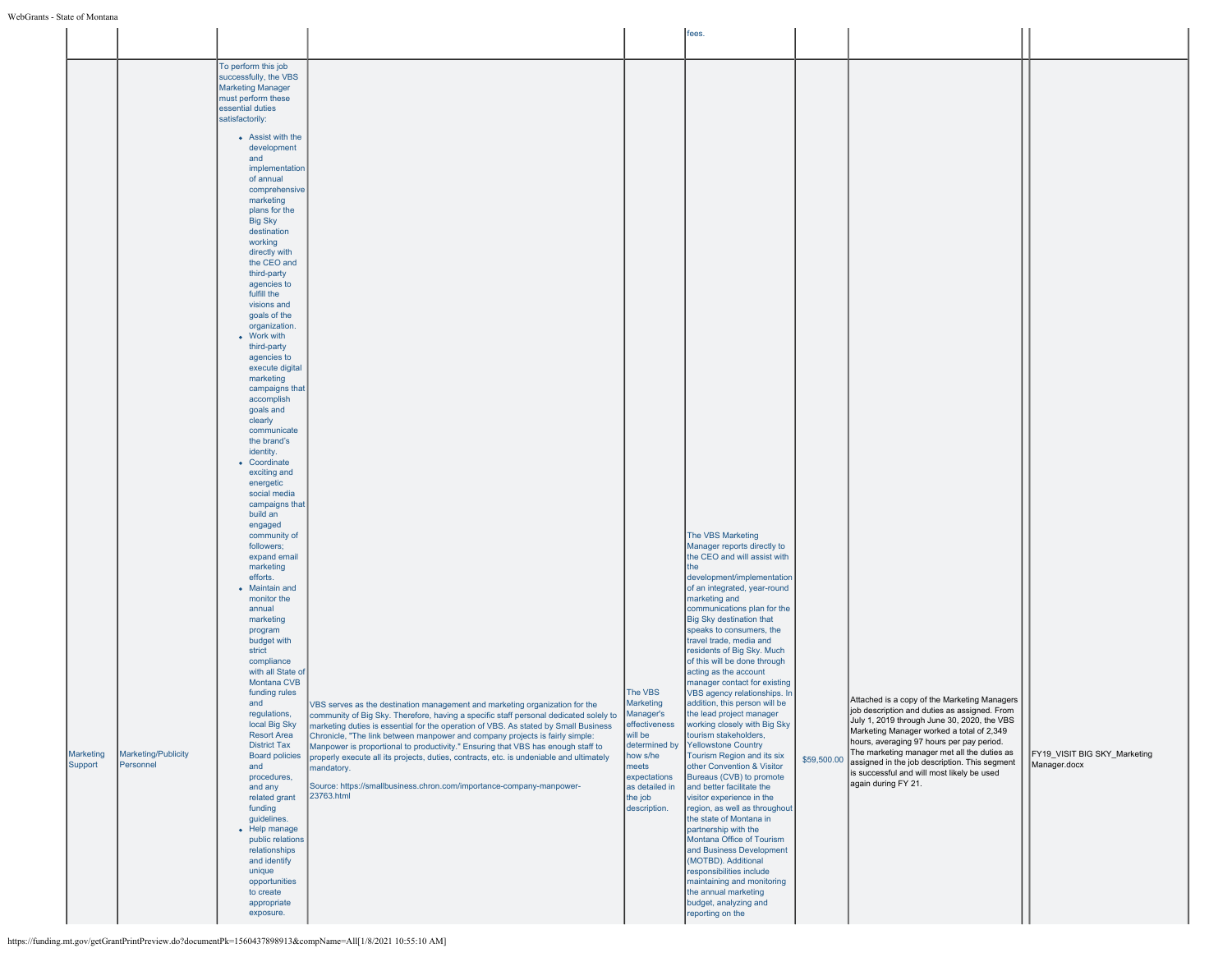#### WebGrants - State of Montana

|                      |                                  |                                                                                                                                                                                                                                                                                                                                                                                                                                                                                                                                                                                                                                                                                                                                               |                                                                                                                                                                                                                                                                                                                                                                                                                                                                                                                                                                                                                                |                                                                                                                                                                  | fees.                                                                                                                                                                                                                                                                                                                                                                                                                                                                                                                                                                                                                                                                                                                                                 |             |                                                                                                                                                                                                                                                                                                                                                                                                            |                                              |
|----------------------|----------------------------------|-----------------------------------------------------------------------------------------------------------------------------------------------------------------------------------------------------------------------------------------------------------------------------------------------------------------------------------------------------------------------------------------------------------------------------------------------------------------------------------------------------------------------------------------------------------------------------------------------------------------------------------------------------------------------------------------------------------------------------------------------|--------------------------------------------------------------------------------------------------------------------------------------------------------------------------------------------------------------------------------------------------------------------------------------------------------------------------------------------------------------------------------------------------------------------------------------------------------------------------------------------------------------------------------------------------------------------------------------------------------------------------------|------------------------------------------------------------------------------------------------------------------------------------------------------------------|-------------------------------------------------------------------------------------------------------------------------------------------------------------------------------------------------------------------------------------------------------------------------------------------------------------------------------------------------------------------------------------------------------------------------------------------------------------------------------------------------------------------------------------------------------------------------------------------------------------------------------------------------------------------------------------------------------------------------------------------------------|-------------|------------------------------------------------------------------------------------------------------------------------------------------------------------------------------------------------------------------------------------------------------------------------------------------------------------------------------------------------------------------------------------------------------------|----------------------------------------------|
|                      |                                  |                                                                                                                                                                                                                                                                                                                                                                                                                                                                                                                                                                                                                                                                                                                                               |                                                                                                                                                                                                                                                                                                                                                                                                                                                                                                                                                                                                                                |                                                                                                                                                                  |                                                                                                                                                                                                                                                                                                                                                                                                                                                                                                                                                                                                                                                                                                                                                       |             |                                                                                                                                                                                                                                                                                                                                                                                                            |                                              |
|                      |                                  | To perform this job<br>successfully, the VBS<br><b>Marketing Manager</b><br>must perform these<br>essential duties<br>satisfactorily:                                                                                                                                                                                                                                                                                                                                                                                                                                                                                                                                                                                                         |                                                                                                                                                                                                                                                                                                                                                                                                                                                                                                                                                                                                                                |                                                                                                                                                                  |                                                                                                                                                                                                                                                                                                                                                                                                                                                                                                                                                                                                                                                                                                                                                       |             |                                                                                                                                                                                                                                                                                                                                                                                                            |                                              |
|                      |                                  | • Assist with the<br>development<br>and<br>implementation<br>of annual<br>comprehensive<br>marketing<br>plans for the<br><b>Big Sky</b><br>destination<br>working<br>directly with<br>the CEO and<br>third-party<br>agencies to<br>fulfill the<br>visions and<br>goals of the<br>organization.<br>• Work with<br>third-party<br>agencies to<br>execute digital<br>marketing<br>campaigns that<br>accomplish<br>goals and<br>clearly<br>communicate<br>the brand's<br>identity.<br>• Coordinate<br>exciting and<br>energetic<br>social media<br>campaigns that<br>build an<br>engaged<br>community of<br>followers;<br>expand email<br>marketing<br>efforts.<br>• Maintain and<br>monitor the<br>annual<br>marketing<br>program<br>budget with |                                                                                                                                                                                                                                                                                                                                                                                                                                                                                                                                                                                                                                |                                                                                                                                                                  | The VBS Marketing<br>Manager reports directly to<br>the CEO and will assist with<br><b>I</b> the<br>development/implementation<br>of an integrated, year-round<br>marketing and<br>communications plan for the<br>Big Sky destination that<br>speaks to consumers, the<br>travel trade, media and                                                                                                                                                                                                                                                                                                                                                                                                                                                     |             |                                                                                                                                                                                                                                                                                                                                                                                                            |                                              |
| Marketing<br>Support | Marketing/Publicity<br>Personnel | strict<br>compliance<br>with all State of<br>Montana CVB<br>funding rules<br>and<br>regulations,<br>local Big Sky<br><b>Resort Area</b><br><b>District Tax</b><br><b>Board policies</b><br>and<br>procedures,<br>and any<br>related grant<br>funding<br>guidelines.<br>• Help manage<br>public relations<br>relationships<br>and identify<br>unique<br>opportunities<br>to create<br>appropriate<br>exposure.                                                                                                                                                                                                                                                                                                                                 | VBS serves as the destination management and marketing organization for the<br>community of Big Sky. Therefore, having a specific staff personal dedicated solely to<br>marketing duties is essential for the operation of VBS. As stated by Small Business<br>Chronicle, "The link between manpower and company projects is fairly simple:<br>Manpower is proportional to productivity." Ensuring that VBS has enough staff to<br>properly execute all its projects, duties, contracts, etc. is undeniable and ultimately<br>mandatory.<br>Source: https://smallbusiness.chron.com/importance-company-manpower-<br>23763.html | The VBS<br>Marketing<br>Manager's<br>effectiveness<br>will be<br>determined by<br>how s/he<br>meets<br>expectations<br>as detailed in<br>the job<br>description. | residents of Big Sky. Much<br>of this will be done through<br>acting as the account<br>manager contact for existing<br>VBS agency relationships. In<br>addition, this person will be<br>the lead project manager<br>working closely with Big Sky<br>tourism stakeholders,<br>Yellowstone Country<br>Tourism Region and its six<br>other Convention & Visitor<br>Bureaus (CVB) to promote<br>and better facilitate the<br>visitor experience in the<br>region, as well as throughout<br>the state of Montana in<br>partnership with the<br>Montana Office of Tourism<br>and Business Development<br>(MOTBD). Additional<br>responsibilities include<br>maintaining and monitoring<br>the annual marketing<br>budget, analyzing and<br>reporting on the | \$59,500.00 | Attached is a copy of the Marketing Managers<br>job description and duties as assigned. From<br>July 1, 2019 through June 30, 2020, the VBS<br>Marketing Manager worked a total of 2,349<br>hours, averaging 97 hours per pay period.<br>The marketing manager met all the duties as<br>assigned in the job description. This segment<br>is successful and will most likely be used<br>again during FY 21. | FY19 VISIT BIG SKY Marketing<br>Manager.docx |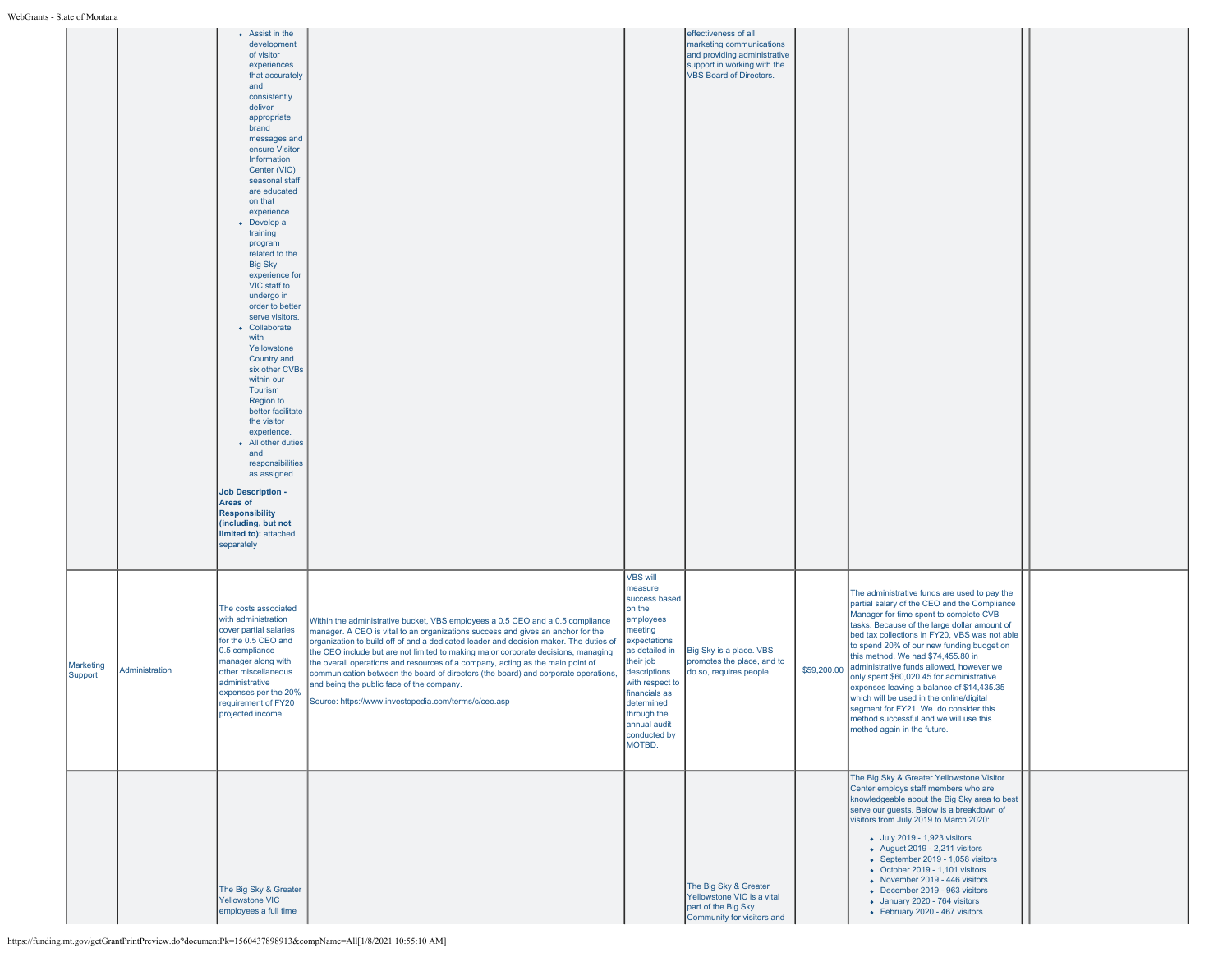| ль - мате от ічниціана |                |                                                                                                                                                                                                                                                                                                                                                                                                                                                                                                                                                                                                                                                                                                                                                                                                         |                                                                                                                                                                                                                                                                                                                                                                                                                                                                                                                                                                                                                              |                                                                                                                                                                                                                                                         |                                                                                                                                                   |             |                                                                                                                                                                                                                                                                                                                                                                                                                                                                                                                                                                                                                                |  |
|------------------------|----------------|---------------------------------------------------------------------------------------------------------------------------------------------------------------------------------------------------------------------------------------------------------------------------------------------------------------------------------------------------------------------------------------------------------------------------------------------------------------------------------------------------------------------------------------------------------------------------------------------------------------------------------------------------------------------------------------------------------------------------------------------------------------------------------------------------------|------------------------------------------------------------------------------------------------------------------------------------------------------------------------------------------------------------------------------------------------------------------------------------------------------------------------------------------------------------------------------------------------------------------------------------------------------------------------------------------------------------------------------------------------------------------------------------------------------------------------------|---------------------------------------------------------------------------------------------------------------------------------------------------------------------------------------------------------------------------------------------------------|---------------------------------------------------------------------------------------------------------------------------------------------------|-------------|--------------------------------------------------------------------------------------------------------------------------------------------------------------------------------------------------------------------------------------------------------------------------------------------------------------------------------------------------------------------------------------------------------------------------------------------------------------------------------------------------------------------------------------------------------------------------------------------------------------------------------|--|
|                        |                | • Assist in the<br>development<br>of visitor<br>experiences<br>that accurately<br>and<br>consistently<br>deliver<br>appropriate<br>brand<br>messages and<br>ensure Visitor<br>Information<br>Center (VIC)<br>seasonal staff<br>are educated<br>on that<br>experience.<br>• Develop a<br>training<br>program<br>related to the<br><b>Big Sky</b><br>experience for<br>VIC staff to<br>undergo in<br>order to better<br>serve visitors.<br>• Collaborate<br>with<br>Yellowstone<br>Country and<br>six other CVBs<br>within our<br>Tourism<br>Region to<br>better facilitate<br>the visitor<br>experience.<br>• All other duties<br>and<br>responsibilities<br>as assigned.<br><b>Job Description -</b><br>Areas of<br><b>Responsibility</b><br>(including, but not<br>limited to): attached<br>separately |                                                                                                                                                                                                                                                                                                                                                                                                                                                                                                                                                                                                                              |                                                                                                                                                                                                                                                         | effectiveness of all<br>marketing communications<br>and providing administrative<br>support in working with the<br><b>VBS Board of Directors.</b> |             |                                                                                                                                                                                                                                                                                                                                                                                                                                                                                                                                                                                                                                |  |
| Marketing<br>Support   | Administration | The costs associated<br>with administration<br>cover partial salaries<br>for the 0.5 CEO and<br>0.5 compliance<br>manager along with<br>other miscellaneous<br>administrative<br>expenses per the 20%<br>requirement of FY20<br>projected income.                                                                                                                                                                                                                                                                                                                                                                                                                                                                                                                                                       | Within the administrative bucket, VBS employees a 0.5 CEO and a 0.5 compliance<br>manager. A CEO is vital to an organizations success and gives an anchor for the<br>organization to build off of and a dedicated leader and decision maker. The duties of<br>the CEO include but are not limited to making major corporate decisions, managing<br>the overall operations and resources of a company, acting as the main point of<br>communication between the board of directors (the board) and corporate operations,<br>and being the public face of the company.<br>Source: https://www.investopedia.com/terms/c/ceo.asp | <b>VBS will</b><br>measure<br>success based<br>on the<br>employees<br>meeting<br>expectations<br>as detailed in<br>their job<br>descriptions<br>with respect to<br>financials as<br>determined<br>through the<br>annual audit<br>conducted by<br>MOTBD. | Big Sky is a place. VBS<br>promotes the place, and to<br>do so, requires people.                                                                  | \$59,200.00 | The administrative funds are used to pay the<br>partial salary of the CEO and the Compliance<br>Manager for time spent to complete CVB<br>tasks. Because of the large dollar amount of<br>bed tax collections in FY20, VBS was not able<br>to spend 20% of our new funding budget on<br>this method. We had \$74,455.80 in<br>administrative funds allowed, however we<br>only spent \$60,020.45 for administrative<br>expenses leaving a balance of \$14,435.35<br>which will be used in the online/digital<br>segment for FY21. We do consider this<br>method successful and we will use this<br>method again in the future. |  |
|                        |                | The Big Sky & Greater<br><b>Yellowstone VIC</b><br>employees a full time                                                                                                                                                                                                                                                                                                                                                                                                                                                                                                                                                                                                                                                                                                                                |                                                                                                                                                                                                                                                                                                                                                                                                                                                                                                                                                                                                                              |                                                                                                                                                                                                                                                         | The Big Sky & Greater<br>Yellowstone VIC is a vital<br>part of the Big Sky<br>Community for visitors and                                          |             | The Big Sky & Greater Yellowstone Visitor<br>Center employs staff members who are<br>knowledgeable about the Big Sky area to best<br>serve our guests. Below is a breakdown of<br>visitors from July 2019 to March 2020:<br>• July 2019 - 1,923 visitors<br>- August 2019 - 2,211 visitors<br>• September 2019 - 1,058 visitors<br>$\bullet$ October 2019 - 1,101 visitors<br>• November 2019 - 446 visitors<br>• December 2019 - 963 visitors<br>• January 2020 - 764 visitors<br>• February 2020 - 467 visitors                                                                                                              |  |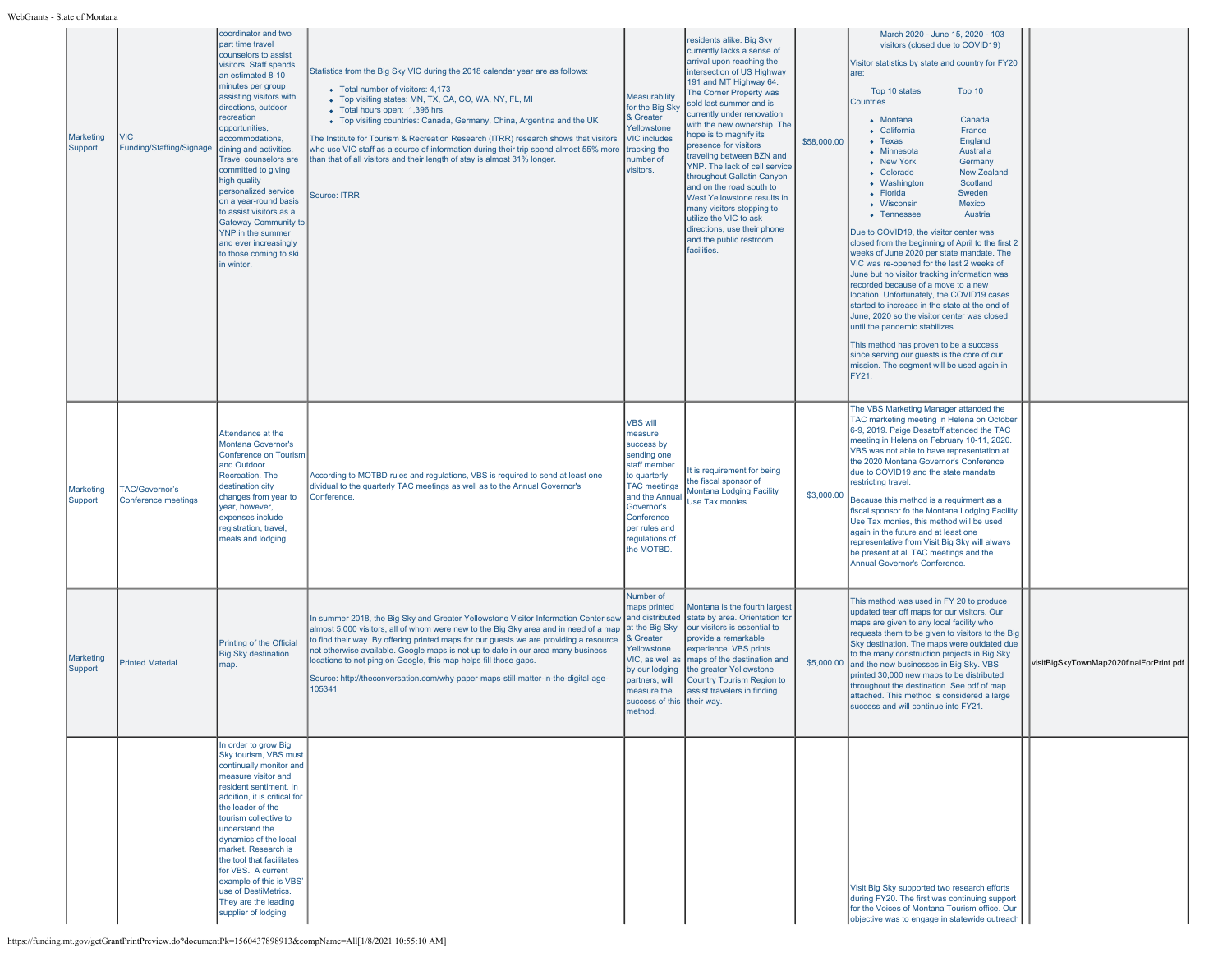| Marketing<br>Support | <b>VIC</b><br>Funding/Staffing/Signage       | coordinator and two<br>part time travel<br>counselors to assist<br>visitors. Staff spends<br>an estimated 8-10<br>minutes per group<br>assisting visitors with<br>directions, outdoor<br>recreation<br>opportunities,<br>accommodations,<br>dining and activities.<br><b>Travel counselors are</b><br>committed to giving<br>high quality<br>personalized service<br>on a year-round basis<br>to assist visitors as a<br><b>Gateway Community to</b><br><b>YNP</b> in the summer<br>and ever increasingly<br>to those coming to ski<br>in winter. | Statistics from the Big Sky VIC during the 2018 calendar year are as follows:<br>• Total number of visitors: 4,173<br>• Top visiting states: MN, TX, CA, CO, WA, NY, FL, MI<br>• Total hours open: 1,396 hrs.<br>• Top visiting countries: Canada, Germany, China, Argentina and the UK<br>The Institute for Tourism & Recreation Research (ITRR) research shows that visitors<br>who use VIC staff as a source of information during their trip spend almost 55% more<br>than that of all visitors and their length of stay is almost 31% longer.<br>Source: ITRR | Measurability<br>for the Big Sky<br>& Greater<br>Yellowstone<br><b>VIC</b> includes<br>tracking the<br>number of<br>visitors.                                                                                 | residents alike. Big Sky<br>currently lacks a sense of<br>arrival upon reaching the<br>intersection of US Highway<br>191 and MT Highway 64.<br>The Corner Property was<br>sold last summer and is<br>currently under renovation<br>with the new ownership. The<br>hope is to magnify its<br>presence for visitors<br>traveling between BZN and<br>YNP. The lack of cell service<br>throughout Gallatin Canyon<br>and on the road south to<br>West Yellowstone results in<br>many visitors stopping to<br>utilize the VIC to ask<br>directions, use their phone<br>and the public restroom<br>facilities. | \$58,000.00 | March 2020 - June 15, 2020 - 103<br>visitors (closed due to COVID19)<br>Visitor statistics by state and country for FY20<br>lare:<br>Top 10 states<br>Top 10<br>Countries<br>• Montana<br>Canada<br>• California<br>France<br>England<br>• Texas<br>Australia<br>• Minnesota<br>Germany<br>• New York<br><b>New Zealand</b><br>• Colorado<br>Scotland<br>• Washington<br>• Florida<br>Sweden<br>• Wisconsin<br>Mexico<br>• Tennessee<br>Austria<br>Due to COVID19, the visitor center was<br>closed from the beginning of April to the first 2<br>weeks of June 2020 per state mandate. The<br>VIC was re-opened for the last 2 weeks of<br>June but no visitor tracking information was<br>recorded because of a move to a new<br>location. Unfortunately, the COVID19 cases<br>started to increase in the state at the end of<br>June, 2020 so the visitor center was closed<br>until the pandemic stabilizes.<br>This method has proven to be a success<br>since serving our guests is the core of our<br>mission. The segment will be used again in<br>FY21. |                                         |
|----------------------|----------------------------------------------|---------------------------------------------------------------------------------------------------------------------------------------------------------------------------------------------------------------------------------------------------------------------------------------------------------------------------------------------------------------------------------------------------------------------------------------------------------------------------------------------------------------------------------------------------|--------------------------------------------------------------------------------------------------------------------------------------------------------------------------------------------------------------------------------------------------------------------------------------------------------------------------------------------------------------------------------------------------------------------------------------------------------------------------------------------------------------------------------------------------------------------|---------------------------------------------------------------------------------------------------------------------------------------------------------------------------------------------------------------|----------------------------------------------------------------------------------------------------------------------------------------------------------------------------------------------------------------------------------------------------------------------------------------------------------------------------------------------------------------------------------------------------------------------------------------------------------------------------------------------------------------------------------------------------------------------------------------------------------|-------------|------------------------------------------------------------------------------------------------------------------------------------------------------------------------------------------------------------------------------------------------------------------------------------------------------------------------------------------------------------------------------------------------------------------------------------------------------------------------------------------------------------------------------------------------------------------------------------------------------------------------------------------------------------------------------------------------------------------------------------------------------------------------------------------------------------------------------------------------------------------------------------------------------------------------------------------------------------------------------------------------------------------------------------------------------------------|-----------------------------------------|
| Marketing<br>Support | <b>TAC/Governor's</b><br>Conference meetings | Attendance at the<br>Montana Governor's<br><b>Conference on Tourism</b><br>and Outdoor<br>Recreation. The<br>destination city<br>changes from year to<br>year, however,<br>expenses include<br>registration, travel,<br>meals and lodging.                                                                                                                                                                                                                                                                                                        | According to MOTBD rules and regulations, VBS is required to send at least one<br>dividual to the quarterly TAC meetings as well as to the Annual Governor's<br>Conference.                                                                                                                                                                                                                                                                                                                                                                                        | <b>VBS will</b><br>measure<br>success by<br>sending one<br>staff member<br>to quarterly<br><b>TAC</b> meetings<br>and the Annual<br>Governor's<br>Conference<br>per rules and<br>regulations of<br>the MOTBD. | It is requirement for being<br>the fiscal sponsor of<br><b>Montana Lodging Facility</b><br>Use Tax monies.                                                                                                                                                                                                                                                                                                                                                                                                                                                                                               | \$3,000.00  | The VBS Marketing Manager attanded the<br>TAC marketing meeting in Helena on October<br>6-9, 2019. Paige Desatoff attended the TAC<br>meeting in Helena on February 10-11, 2020.<br>VBS was not able to have representation at<br>the 2020 Montana Governor's Conference<br>due to COVID19 and the state mandate<br>restricting travel.<br>Because this method is a requirment as a<br>fiscal sponsor fo the Montana Lodging Facility<br>Use Tax monies, this method will be used<br>again in the future and at least one<br>representative from Visit Big Sky will always<br>be present at all TAC meetings and the<br>Annual Governor's Conference.                                                                                                                                                                                                                                                                                                                                                                                                            |                                         |
| Marketing<br>Support | <b>Printed Material</b>                      | Printing of the Official<br><b>Big Sky destination</b><br>map.                                                                                                                                                                                                                                                                                                                                                                                                                                                                                    | In summer 2018, the Big Sky and Greater Yellowstone Visitor Information Center saw<br>almost 5,000 visitors, all of whom were new to the Big Sky area and in need of a map<br>to find their way. By offering printed maps for our guests we are providing a resource<br>not otherwise available. Google maps is not up to date in our area many business<br>locations to not ping on Google, this map helps fill those gaps.<br>Source: http://theconversation.com/why-paper-maps-still-matter-in-the-digital-age-<br>105341                                       | Number of<br>maps printed<br>and distributed<br>at the Big Sky<br>& Greater<br>Yellowstone<br>VIC, as well as<br>by our lodging<br>partners, will<br>measure the<br>success of this<br>method.                | Montana is the fourth largest<br>state by area. Orientation for<br>our visitors is essential to<br>provide a remarkable<br>experience. VBS prints<br>maps of the destination and<br>the greater Yellowstone<br><b>Country Tourism Region to</b><br>assist travelers in finding<br>their way.                                                                                                                                                                                                                                                                                                             |             | This method was used in FY 20 to produce<br>updated tear off maps for our visitors. Our<br>maps are given to any local facility who<br>requests them to be given to visitors to the Big<br>Sky destination. The maps were outdated due<br>to the many construction projects in Big Sky<br>\$5,000.00 and the new businesses in Big Sky. VBS<br>printed 30,000 new maps to be distributed<br>throughout the destination. See pdf of map<br>attached. This method is considered a large<br>success and will continue into FY21.                                                                                                                                                                                                                                                                                                                                                                                                                                                                                                                                    | visitBigSkyTownMap2020finalForPrint.pdf |
|                      |                                              | In order to grow Big<br>Sky tourism, VBS must<br>continually monitor and<br>measure visitor and<br>resident sentiment. In<br>addition, it is critical for<br>the leader of the<br>tourism collective to<br>understand the<br>dynamics of the local<br>market. Research is<br>the tool that facilitates<br>for VBS. A current<br>example of this is VBS'<br>use of DestiMetrics.<br>They are the leading<br>supplier of lodging                                                                                                                    |                                                                                                                                                                                                                                                                                                                                                                                                                                                                                                                                                                    |                                                                                                                                                                                                               |                                                                                                                                                                                                                                                                                                                                                                                                                                                                                                                                                                                                          |             | Visit Big Sky supported two research efforts<br>during FY20. The first was continuing support<br>for the Voices of Montana Tourism office. Our<br>objective was to engage in statewide outreach                                                                                                                                                                                                                                                                                                                                                                                                                                                                                                                                                                                                                                                                                                                                                                                                                                                                  |                                         |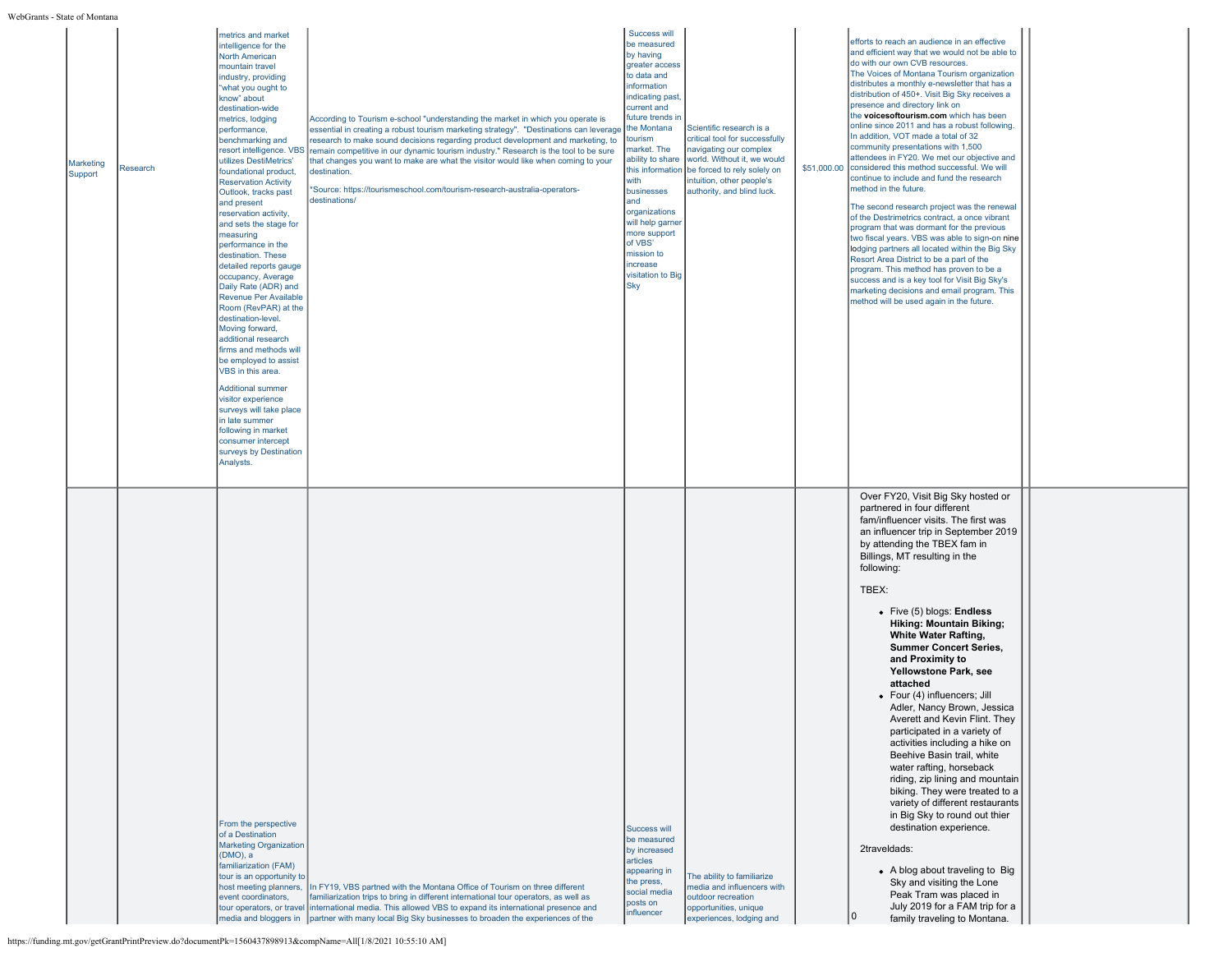| State of Montana     |          |                                                                                                                                                                                                                                                                                                                                                                                                                                                                                                                                                                                                                                                                                                                                                                                                                                                                                                                                            |                                                                                                                                                                                                                                                                                                                                                                                                                                                                                                                                                          |                                                                                                                                                                                                                                                                                                                                                                                           |                                                                                                                                                                                                               |                                                                                                                                                                                                                                                                                                                                                                                                                                                                                                                                                                                                                                                                                                                                                                                                                                                                                                                                                                                                                                                                                                                                                                   |  |
|----------------------|----------|--------------------------------------------------------------------------------------------------------------------------------------------------------------------------------------------------------------------------------------------------------------------------------------------------------------------------------------------------------------------------------------------------------------------------------------------------------------------------------------------------------------------------------------------------------------------------------------------------------------------------------------------------------------------------------------------------------------------------------------------------------------------------------------------------------------------------------------------------------------------------------------------------------------------------------------------|----------------------------------------------------------------------------------------------------------------------------------------------------------------------------------------------------------------------------------------------------------------------------------------------------------------------------------------------------------------------------------------------------------------------------------------------------------------------------------------------------------------------------------------------------------|-------------------------------------------------------------------------------------------------------------------------------------------------------------------------------------------------------------------------------------------------------------------------------------------------------------------------------------------------------------------------------------------|---------------------------------------------------------------------------------------------------------------------------------------------------------------------------------------------------------------|-------------------------------------------------------------------------------------------------------------------------------------------------------------------------------------------------------------------------------------------------------------------------------------------------------------------------------------------------------------------------------------------------------------------------------------------------------------------------------------------------------------------------------------------------------------------------------------------------------------------------------------------------------------------------------------------------------------------------------------------------------------------------------------------------------------------------------------------------------------------------------------------------------------------------------------------------------------------------------------------------------------------------------------------------------------------------------------------------------------------------------------------------------------------|--|
| Marketing<br>Support | Research | metrics and market<br>intelligence for the<br>North American<br>mountain travel<br>industry, providing<br>what you ought to<br>know" about<br>destination-wide<br>metrics, lodging<br>performance,<br>benchmarking and<br>resort intelligence. VBS<br>utilizes DestiMetrics'<br>foundational product,<br><b>Reservation Activity</b><br>Outlook, tracks past<br>and present<br>reservation activity,<br>and sets the stage for<br>measuring<br>performance in the<br>destination. These<br>detailed reports gauge<br>occupancy, Average<br>Daily Rate (ADR) and<br>Revenue Per Available<br>Room (RevPAR) at the<br>destination-level<br>Moving forward,<br>additional research<br>firms and methods will<br>be employed to assist<br>VBS in this area.<br><b>Additional summer</b><br>visitor experience<br>surveys will take place<br>in late summer<br>following in market<br>consumer intercept<br>surveys by Destination<br>Analysts. | According to Tourism e-school "understanding the market in which you operate is<br>essential in creating a robust tourism marketing strategy". "Destinations can leverage<br>research to make sound decisions regarding product development and marketing, to<br>remain competitive in our dynamic tourism industry." Research is the tool to be sure<br>that changes you want to make are what the visitor would like when coming to your<br>destination.<br>*Source: https://tourismeschool.com/tourism-research-australia-operators-<br>destinations/ | Success will<br>be measured<br>by having<br>greater access<br>to data and<br>information<br>indicating past<br>current and<br>future trends in<br>the Montana<br>tourism<br>market. The<br>ability to share<br>this information<br>with<br>businesses<br>and<br>organizations<br>will help garner<br>more support<br>of VBS'<br>mission to<br>increase<br>visitation to Big<br><b>Sky</b> | Scientific research is a<br>critical tool for successfully<br>navigating our complex<br>world. Without it, we would<br>be forced to rely solely on<br>intuition, other people's<br>authority, and blind luck. | efforts to reach an audience in an effective<br>and efficient way that we would not be able to<br>do with our own CVB resources.<br>The Voices of Montana Tourism organization<br>distributes a monthly e-newsletter that has a<br>distribution of 450+. Visit Big Sky receives a<br>presence and directory link on<br>the voices of tourism.com which has been<br>online since 2011 and has a robust following.<br>In addition, VOT made a total of 32<br>community presentations with 1,500<br>attendees in FY20. We met our objective and<br>\$51,000.00 considered this method successful. We will<br>continue to include and fund the research<br>method in the future.<br>The second research project was the renewal<br>of the Destrimetrics contract, a once vibrant<br>program that was dormant for the previous<br>two fiscal years. VBS was able to sign-on nine<br>lodging partners all located within the Big Sky<br>Resort Area District to be a part of the<br>program. This method has proven to be a<br>success and is a key tool for Visit Big Sky's<br>marketing decisions and email program. This<br>method will be used again in the future. |  |
|                      |          | From the perspective<br>of a Destination<br><b>Marketing Organization</b><br>(DMO), a<br>familiarization (FAM)<br>tour is an opportunity to<br>host meeting planners,<br>event coordinators,                                                                                                                                                                                                                                                                                                                                                                                                                                                                                                                                                                                                                                                                                                                                               | In FY19, VBS partned with the Montana Office of Tourism on three different<br>familiarization trips to bring in different international tour operators, as well as<br>tour operators, or travel international media. This allowed VBS to expand its international presence and<br>media and bloggers in partner with many local Big Sky businesses to broaden the experiences of the                                                                                                                                                                     | <b>Success will</b><br>be measured<br>by increased<br>articles<br>appearing in<br>the press,<br>social media<br>posts on<br>influencer                                                                                                                                                                                                                                                    | The ability to familiarize<br>nedia and influencers with<br>outdoor recreation<br>opportunities, unique<br>experiences, lodging and                                                                           | Over FY20, Visit Big Sky hosted or<br>partnered in four different<br>fam/influencer visits. The first was<br>an influencer trip in September 2019<br>by attending the TBEX fam in<br>Billings, MT resulting in the<br>following:<br>TBEX:<br>• Five (5) blogs: Endless<br>Hiking: Mountain Biking;<br><b>White Water Rafting,</b><br><b>Summer Concert Series,</b><br>and Proximity to<br>Yellowstone Park, see<br>attached<br>• Four (4) influencers; Jill<br>Adler, Nancy Brown, Jessica<br>Averett and Kevin Flint. They<br>participated in a variety of<br>activities including a hike on<br>Beehive Basin trail, white<br>water rafting, horseback<br>riding, zip lining and mountain<br>biking. They were treated to a<br>variety of different restaurants<br>in Big Sky to round out thier<br>destination experience.<br>2traveldads:<br>• A blog about traveling to Big<br>Sky and visiting the Lone<br>Peak Tram was placed in<br>July 2019 for a FAM trip for a<br>10<br>family traveling to Montana.                                                                                                                                                   |  |

Ξ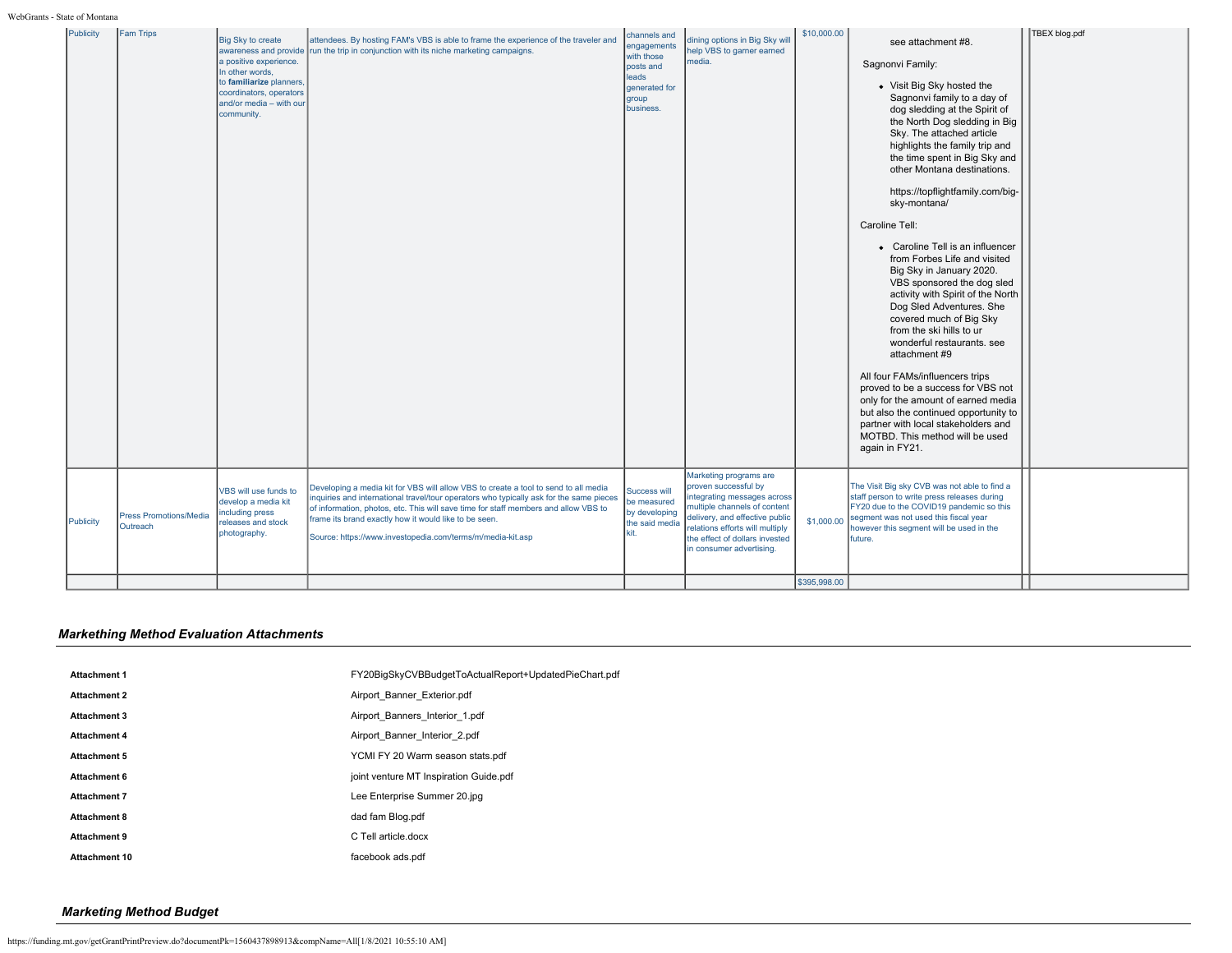| \$10,000.00<br>TBEX blog.pdf<br>Publicity<br><b>Fam Trips</b><br>channels and<br>dining options in Big Sky will<br>Big Sky to create<br>attendees. By hosting FAM's VBS is able to frame the experience of the traveler and<br>see attachment #8.<br>engagements<br>help VBS to garner earned<br>run the trip in conjunction with its niche marketing campaigns.<br>awareness and provide<br>with those<br>media.<br>a positive experience.<br>Sagnonvi Family:<br>posts and<br>In other words.<br>leads<br>to familiarize planners.<br>• Visit Big Sky hosted the<br>generated for<br>coordinators, operators<br>Sagnonvi family to a day of<br>group<br>and/or media - with our<br>business.<br>dog sledding at the Spirit of<br>community.<br>the North Dog sledding in Big<br>Sky. The attached article<br>highlights the family trip and<br>the time spent in Big Sky and<br>other Montana destinations.<br>https://topflightfamily.com/big-<br>sky-montana/<br>Caroline Tell:<br>• Caroline Tell is an influencer<br>from Forbes Life and visited<br>Big Sky in January 2020.<br>VBS sponsored the dog sled<br>activity with Spirit of the North<br>Dog Sled Adventures. She<br>covered much of Big Sky<br>from the ski hills to ur<br>wonderful restaurants, see<br>attachment #9<br>All four FAMs/influencers trips<br>proved to be a success for VBS not<br>only for the amount of earned media<br>but also the continued opportunity to<br>partner with local stakeholders and<br>MOTBD. This method will be used<br>again in FY21.<br>Marketing programs are<br>proven successful by<br>The Visit Big sky CVB was not able to find a<br>Developing a media kit for VBS will allow VBS to create a tool to send to all media<br>VBS will use funds to<br>Success will<br>staff person to write press releases during<br>integrating messages across<br>inquiries and international travel/tour operators who typically ask for the same pieces<br>develop a media kit<br>be measured<br>multiple channels of content<br>FY20 due to the COVID19 pandemic so this<br>of information, photos, etc. This will save time for staff members and allow VBS to<br>including press<br>by developing<br><b>Press Promotions/Media</b><br>delivery, and effective public<br>segment was not used this fiscal year<br>frame its brand exactly how it would like to be seen.<br>\$1,000.00<br>Publicity<br>releases and stock<br>the said media<br>Outreach<br>relations efforts will multiply<br>however this segment will be used in the<br>kit.<br>photography.<br>Source: https://www.investopedia.com/terms/m/media-kit.asp<br>the effect of dollars invested<br>future.<br>in consumer advertising.<br>\$395,998.00 | э - эние от мощи |  |  |  |  |
|-------------------------------------------------------------------------------------------------------------------------------------------------------------------------------------------------------------------------------------------------------------------------------------------------------------------------------------------------------------------------------------------------------------------------------------------------------------------------------------------------------------------------------------------------------------------------------------------------------------------------------------------------------------------------------------------------------------------------------------------------------------------------------------------------------------------------------------------------------------------------------------------------------------------------------------------------------------------------------------------------------------------------------------------------------------------------------------------------------------------------------------------------------------------------------------------------------------------------------------------------------------------------------------------------------------------------------------------------------------------------------------------------------------------------------------------------------------------------------------------------------------------------------------------------------------------------------------------------------------------------------------------------------------------------------------------------------------------------------------------------------------------------------------------------------------------------------------------------------------------------------------------------------------------------------------------------------------------------------------------------------------------------------------------------------------------------------------------------------------------------------------------------------------------------------------------------------------------------------------------------------------------------------------------------------------------------------------------------------------------------------------------------------------------------------------------------------------------------------------------------------------------------------------------------------------------------------------------------------------------------------------------------------------------------------------------------------------------------|------------------|--|--|--|--|
|                                                                                                                                                                                                                                                                                                                                                                                                                                                                                                                                                                                                                                                                                                                                                                                                                                                                                                                                                                                                                                                                                                                                                                                                                                                                                                                                                                                                                                                                                                                                                                                                                                                                                                                                                                                                                                                                                                                                                                                                                                                                                                                                                                                                                                                                                                                                                                                                                                                                                                                                                                                                                                                                                                                         |                  |  |  |  |  |
|                                                                                                                                                                                                                                                                                                                                                                                                                                                                                                                                                                                                                                                                                                                                                                                                                                                                                                                                                                                                                                                                                                                                                                                                                                                                                                                                                                                                                                                                                                                                                                                                                                                                                                                                                                                                                                                                                                                                                                                                                                                                                                                                                                                                                                                                                                                                                                                                                                                                                                                                                                                                                                                                                                                         |                  |  |  |  |  |
|                                                                                                                                                                                                                                                                                                                                                                                                                                                                                                                                                                                                                                                                                                                                                                                                                                                                                                                                                                                                                                                                                                                                                                                                                                                                                                                                                                                                                                                                                                                                                                                                                                                                                                                                                                                                                                                                                                                                                                                                                                                                                                                                                                                                                                                                                                                                                                                                                                                                                                                                                                                                                                                                                                                         |                  |  |  |  |  |

## *Markething Method Evaluation Attachments*

| <b>Attachment 1</b>  | FY20BigSkyCVBBudgetToActualReport+UpdatedPieChart.pdf |
|----------------------|-------------------------------------------------------|
| <b>Attachment 2</b>  | Airport Banner Exterior.pdf                           |
| <b>Attachment 3</b>  | Airport Banners Interior 1.pdf                        |
| <b>Attachment 4</b>  | Airport Banner Interior 2.pdf                         |
| Attachment 5         | YCMI FY 20 Warm season stats.pdf                      |
| Attachment 6         | joint venture MT Inspiration Guide.pdf                |
| <b>Attachment 7</b>  | Lee Enterprise Summer 20.jpg                          |
| <b>Attachment 8</b>  | dad fam Blog.pdf                                      |
| <b>Attachment 9</b>  | C Tell article docx                                   |
| <b>Attachment 10</b> | facebook ads.pdf                                      |
|                      |                                                       |

## *Marketing Method Budget*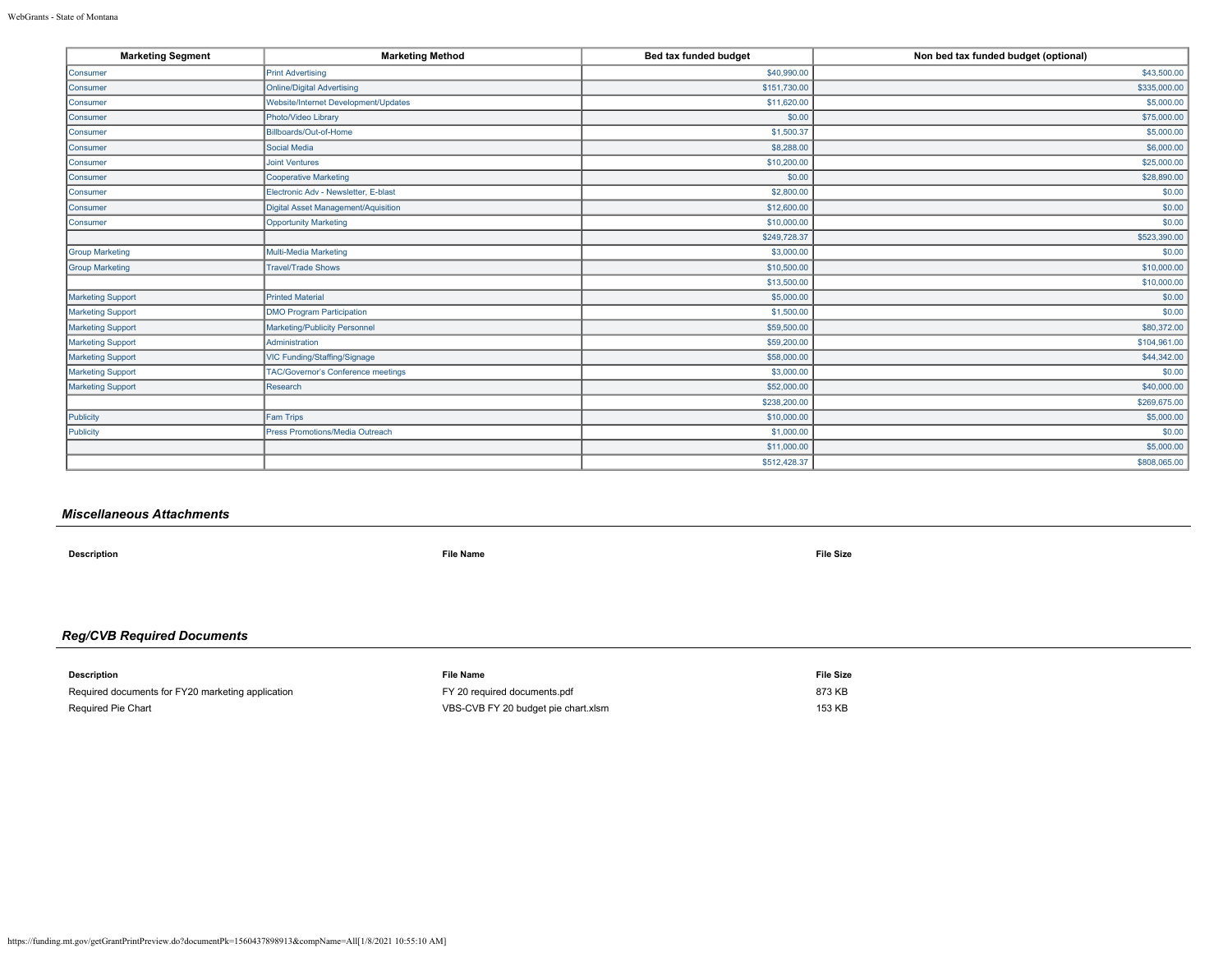| <b>Marketing Segment</b> | <b>Marketing Method</b>              | Bed tax funded budget | Non bed tax funded budget (optional) |
|--------------------------|--------------------------------------|-----------------------|--------------------------------------|
| Consumer                 | <b>Print Advertising</b>             | \$40,990.00           | \$43,500.00                          |
| Consumer                 | <b>Online/Digital Advertising</b>    | \$151,730.00          | \$335,000.00                         |
| Consumer                 | Website/Internet Development/Updates | \$11,620.00           | \$5,000.00                           |
| Consumer                 | Photo/Video Library                  | \$0.00                | \$75,000.00                          |
| Consumer                 | Billboards/Out-of-Home               | \$1,500.37            | \$5,000.00                           |
| Consumer                 | Social Media                         | \$8,288.00            | \$6,000.00                           |
| Consumer                 | <b>Joint Ventures</b>                | \$10,200.00           | \$25,000.00                          |
| Consumer                 | <b>Cooperative Marketing</b>         | \$0.00                | \$28,890.00                          |
| Consumer                 | Electronic Adv - Newsletter, E-blast | \$2,800.00            | \$0.00                               |
| Consumer                 | Digital Asset Management/Aquisition  | \$12,600.00           | \$0.00                               |
| Consumer                 | <b>Opportunity Marketing</b>         | \$10,000.00           | \$0.00                               |
|                          |                                      | \$249,728.37          | \$523,390.00                         |
| <b>Group Marketing</b>   | Multi-Media Marketing                | \$3,000.00            | \$0.00                               |
| <b>Group Marketing</b>   | <b>Travel/Trade Shows</b>            | \$10,500.00           | \$10,000.00                          |
|                          |                                      | \$13,500.00           | \$10,000.00                          |
| <b>Marketing Support</b> | <b>Printed Material</b>              | \$5,000.00            | \$0.00                               |
| Marketing Support        | <b>DMO Program Participation</b>     | \$1,500.00            | \$0.00                               |
| Marketing Support        | Marketing/Publicity Personnel        | \$59,500.00           | \$80,372.00                          |
| Marketing Support        | Administration                       | \$59,200.00           | \$104,961.00                         |
| <b>Marketing Support</b> | VIC Funding/Staffing/Signage         | \$58,000.00           | \$44,342.00                          |
| Marketing Support        | TAC/Governor's Conference meetings   | \$3,000.00            | \$0.00                               |
| <b>Marketing Support</b> | Research                             | \$52,000.00           | \$40,000.00                          |
|                          |                                      | \$238,200.00          | \$269,675.00                         |
| Publicity                | <b>Fam Trips</b>                     | \$10,000.00           | \$5,000.00                           |
| Publicity                | Press Promotions/Media Outreach      | \$1,000.00            | \$0.00                               |
|                          |                                      | \$11,000.00           | \$5,000.00                           |
|                          |                                      | \$512,428.37          | \$808,065.00                         |

## *Miscellaneous Attachments*

**Description File Name File Size**

## *Reg/CVB Required Documents*

| <b>Description</b>                                | <b>File Name</b>                    | <b>File Size</b> |
|---------------------------------------------------|-------------------------------------|------------------|
| Required documents for FY20 marketing application | FY 20 required documents.pdf        | 873 KB           |
| Required Pie Chart                                | VBS-CVB FY 20 budget pie chart.xlsm | 153 KB           |